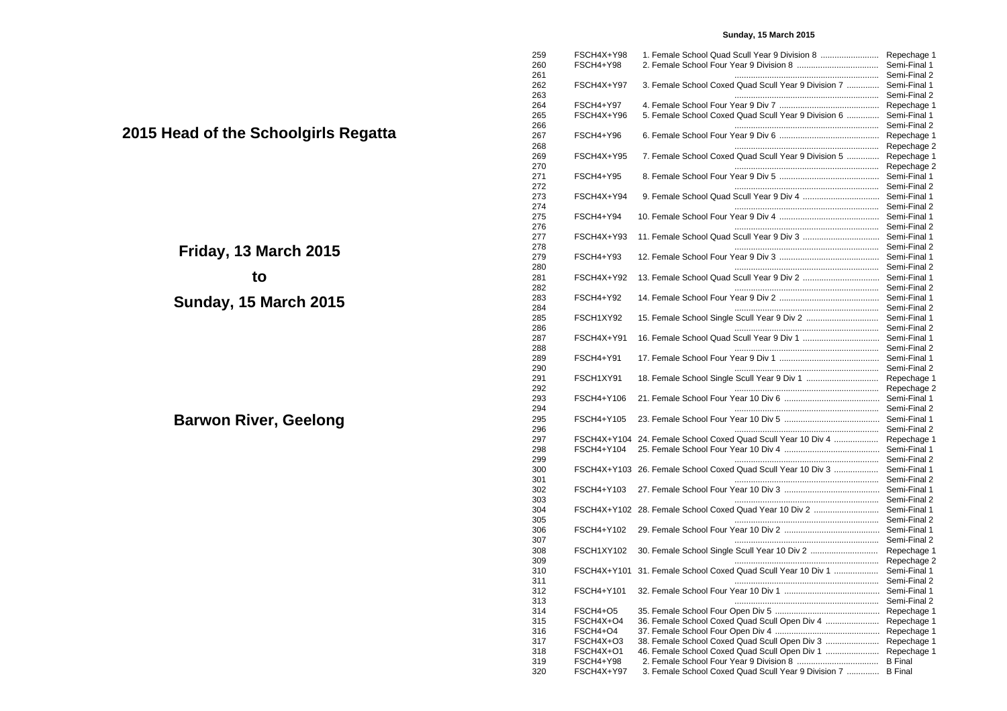## **Sunday, 15 March 2015**

| 259        | FSCH4X+Y98            |  |                                                              | Repechage 1                  |
|------------|-----------------------|--|--------------------------------------------------------------|------------------------------|
| 260        | FSCH4+Y98             |  |                                                              | Semi-Final 1                 |
| 261        |                       |  |                                                              | Semi-Final 2                 |
| 262        | FSCH4X+Y97            |  | 3. Female School Coxed Quad Scull Year 9 Division 7          | Semi-Final 1                 |
| 263        | <b>FSCH4+Y97</b>      |  |                                                              | Semi-Final 2                 |
| 264<br>265 | FSCH4X+Y96            |  | 5. Female School Coxed Quad Scull Year 9 Division 6          | Repechage 1<br>Semi-Final 1  |
| 266        |                       |  |                                                              | Semi-Final 2                 |
| 267        | FSCH4+Y96             |  |                                                              | Repechage 1                  |
| 268        |                       |  |                                                              | Repechage 2                  |
| 269        | FSCH4X+Y95            |  | 7. Female School Coxed Quad Scull Year 9 Division 5          | Repechage 1                  |
| 270        |                       |  |                                                              | Repechage 2                  |
| 271        | FSCH4+Y95             |  |                                                              | Semi-Final 1                 |
| 272        |                       |  |                                                              | Semi-Final 2                 |
| 273        | FSCH4X+Y94            |  |                                                              | Semi-Final 1                 |
| 274        |                       |  |                                                              | Semi-Final 2                 |
| 275        | FSCH4+Y94             |  |                                                              | Semi-Final 1                 |
| 276        |                       |  |                                                              | Semi-Final 2                 |
| 277        | FSCH4X+Y93            |  |                                                              | Semi-Final 1                 |
| 278        |                       |  |                                                              | Semi-Final 2                 |
| 279        | FSCH4+Y93             |  |                                                              | Semi-Final 1                 |
| 280        |                       |  |                                                              | Semi-Final 2                 |
| 281        | FSCH4X+Y92            |  |                                                              | Semi-Final 1<br>Semi-Final 2 |
| 282<br>283 | FSCH4+Y92             |  |                                                              | Semi-Final 1                 |
| 284        |                       |  |                                                              | Semi-Final 2                 |
| 285        | FSCH1XY92             |  |                                                              | Semi-Final 1                 |
| 286        |                       |  |                                                              | Semi-Final 2                 |
| 287        | FSCH4X+Y91            |  |                                                              | Semi-Final 1                 |
| 288        |                       |  |                                                              | Semi-Final 2                 |
| 289        | <b>FSCH4+Y91</b>      |  |                                                              | Semi-Final 1                 |
| 290        |                       |  |                                                              | Semi-Final 2                 |
| 291        | FSCH1XY91             |  |                                                              | Repechage 1                  |
| 292        |                       |  |                                                              | Repechage 2                  |
| 293        | FSCH4+Y106            |  |                                                              | Semi-Final 1                 |
| 294        |                       |  |                                                              | Semi-Final 2                 |
| 295        | FSCH4+Y105            |  |                                                              | Semi-Final 1                 |
| 296        |                       |  |                                                              | Semi-Final 2                 |
| 297        |                       |  | FSCH4X+Y104 24. Female School Coxed Quad Scull Year 10 Div 4 | Repechage 1                  |
| 298<br>299 | FSCH4+Y104            |  |                                                              | Semi-Final 1<br>Semi-Final 2 |
| 300        |                       |  | FSCH4X+Y103 26. Female School Coxed Quad Scull Year 10 Div 3 | Semi-Final 1                 |
| 301        |                       |  |                                                              | Semi-Final 2                 |
| 302        | FSCH4+Y103            |  |                                                              | Semi-Final 1                 |
| 303        |                       |  |                                                              | Semi-Final 2                 |
| 304        |                       |  | FSCH4X+Y102 28. Female School Coxed Quad Year 10 Div 2       | Semi-Final 1                 |
| 305        |                       |  |                                                              | Semi-Final 2                 |
| 306        | FSCH4+Y102            |  |                                                              | Semi-Final 1                 |
| 307        |                       |  |                                                              | Semi-Final 2                 |
| 308        | FSCH1XY102            |  |                                                              | Repechage 1                  |
| 309        |                       |  |                                                              | Repechage 2                  |
| 310        |                       |  | FSCH4X+Y101 31. Female School Coxed Quad Scull Year 10 Div 1 | Semi-Final 1                 |
| 311        |                       |  |                                                              | Semi-Final 2                 |
| 312        | FSCH4+Y101            |  |                                                              | Semi-Final 1                 |
| 313        |                       |  |                                                              | Semi-Final 2                 |
| 314        | FSCH4+O5              |  |                                                              | Repechage 1                  |
| 315        | FSCH4X+O4             |  | 36. Female School Coxed Quad Scull Open Div 4                | Repechage 1                  |
| 316<br>317 | FSCH4+O4<br>FSCH4X+O3 |  | 38. Female School Coxed Quad Scull Open Div 3                | Repechage 1<br>Repechage 1   |
| 318        | FSCH4X+O1             |  | 46. Female School Coxed Quad Scull Open Div 1                | Repechage 1                  |
| 319        | FSCH4+Y98             |  |                                                              | <b>B</b> Final               |
| 320        | FSCH4X+Y97            |  | 3. Female School Coxed Quad Scull Year 9 Division 7          | <b>B</b> Final               |
|            |                       |  |                                                              |                              |

**2015 Head of the Schoolgirls Regatta**

**Friday, 13 March 2015 to**

**Sunday, 15 March 2015**

**Barwon River, Geelong**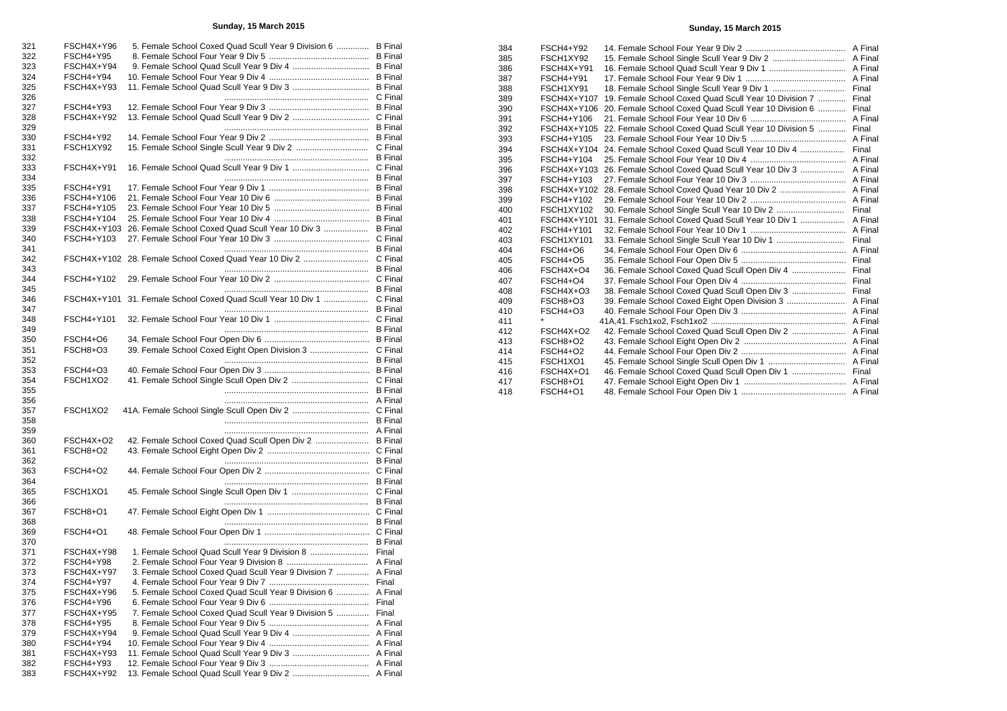## **Sunday, 15 March 2015**

| 321        | FSCH4X+Y96              |  | 5. Female School Coxed Quad Scull Year 9 Division 6  B Final |                |
|------------|-------------------------|--|--------------------------------------------------------------|----------------|
| 322        | FSCH4+Y95               |  |                                                              | <b>B</b> Final |
| 323        | FSCH4X+Y94              |  |                                                              |                |
| 324        | FSCH4+Y94               |  |                                                              | <b>B</b> Final |
| 325        | FSCH4X+Y93              |  |                                                              | <b>B</b> Final |
| 326        |                         |  |                                                              |                |
| 327        | FSCH4+Y93               |  |                                                              | <b>B</b> Final |
| 328        | FSCH4X+Y92              |  |                                                              |                |
| 329        |                         |  |                                                              | <b>B</b> Final |
| 330        | FSCH4+Y92               |  |                                                              | <b>B</b> Final |
|            |                         |  |                                                              | C Final        |
| 331        | FSCH1XY92               |  |                                                              |                |
| 332        |                         |  |                                                              | <b>B</b> Final |
| 333        | FSCH4X+Y91              |  |                                                              |                |
| 334        |                         |  |                                                              | <b>B</b> Final |
| 335        | FSCH4+Y91               |  |                                                              | <b>B</b> Final |
| 336        | FSCH4+Y106              |  |                                                              | <b>B</b> Final |
| 337        | FSCH4+Y105              |  |                                                              | <b>B</b> Final |
| 338        | FSCH4+Y104              |  |                                                              |                |
| 339        | FSCH4X+Y103             |  | 26. Female School Coxed Quad Scull Year 10 Div 3             | <b>B</b> Final |
| 340        | FSCH4+Y103              |  |                                                              | C Final        |
| 341        |                         |  |                                                              | <b>B</b> Final |
| 342        |                         |  | FSCH4X+Y102 28. Female School Coxed Quad Year 10 Div 2       | C Final        |
| 343        |                         |  |                                                              | <b>B</b> Final |
|            |                         |  |                                                              |                |
| 344        | FSCH4+Y102              |  |                                                              |                |
| 345        |                         |  |                                                              | <b>B</b> Final |
| 346        |                         |  | FSCH4X+Y101 31. Female School Coxed Quad Scull Year 10 Div 1 | C Final        |
| 347        |                         |  |                                                              | <b>B</b> Final |
| 348        | FSCH4+Y101              |  |                                                              |                |
| 349        |                         |  |                                                              | <b>B</b> Final |
| 350        | FSCH4+O6                |  |                                                              |                |
| 351        | FSCH8+O3                |  |                                                              | C Final        |
| 352        |                         |  |                                                              |                |
|            |                         |  |                                                              | <b>B</b> Final |
|            |                         |  |                                                              |                |
| 353        | FSCH4+O3                |  |                                                              | <b>B</b> Final |
| 354        | FSCH1XO2                |  |                                                              | C Final        |
| 355        |                         |  |                                                              | <b>B</b> Final |
| 356        |                         |  |                                                              | A Final        |
| 357        | FSCH1XO2                |  |                                                              |                |
| 358        |                         |  |                                                              | <b>B</b> Final |
| 359        |                         |  |                                                              | A Final        |
| 360        | FSCH4X+O2               |  |                                                              | <b>B</b> Final |
| 361        | <b>FSCH8+O2</b>         |  |                                                              |                |
| 362        |                         |  |                                                              | <b>B</b> Final |
| 363        | FSCH4+O2                |  |                                                              |                |
| 364        |                         |  |                                                              | <b>B</b> Final |
| 365        | FSCH1XO1                |  |                                                              |                |
|            |                         |  |                                                              | <b>B</b> Final |
| 366        |                         |  |                                                              |                |
| 367        | FSCH8+O1                |  |                                                              |                |
| 368        |                         |  |                                                              | <b>B</b> Final |
| 369        | FSCH4+O1                |  |                                                              |                |
| 370        |                         |  |                                                              | <b>B</b> Final |
| 371        | FSCH4X+Y98              |  |                                                              | Final          |
| 372        | FSCH4+Y98               |  |                                                              |                |
| 373        | FSCH4X+Y97              |  | 3. Female School Coxed Quad Scull Year 9 Division 7          | A Final        |
| 374        | FSCH4+Y97               |  |                                                              | Final          |
| 375        | FSCH4X+Y96              |  | 5. Female School Coxed Quad Scull Year 9 Division 6  A Final |                |
| 376        | FSCH4+Y96               |  |                                                              | Final          |
| 377        | FSCH4X+Y95              |  | 7. Female School Coxed Quad Scull Year 9 Division 5  Final   |                |
|            |                         |  |                                                              |                |
| 378        | FSCH4+Y95               |  |                                                              |                |
| 379        | FSCH4X+Y94              |  |                                                              |                |
| 380        | FSCH4+Y94               |  |                                                              |                |
| 381        | FSCH4X+Y93              |  |                                                              |                |
| 382<br>383 | FSCH4+Y93<br>FSCH4X+Y92 |  |                                                              |                |

## **Sunday, 15 March 2015**

| 384 | FSCH4+Y92       |                                                              |  |
|-----|-----------------|--------------------------------------------------------------|--|
| 385 | FSCH1XY92       |                                                              |  |
| 386 | FSCH4X+Y91      |                                                              |  |
| 387 | FSCH4+Y91       |                                                              |  |
| 388 | FSCH1XY91       |                                                              |  |
| 389 | FSCH4X+Y107     | 19. Female School Coxed Quad Scull Year 10 Division 7  Final |  |
| 390 | FSCH4X+Y106     | 20. Female School Coxed Quad Scull Year 10 Division 6  Final |  |
| 391 | FSCH4+Y106      |                                                              |  |
| 392 | FSCH4X+Y105     | 22. Female School Coxed Quad Scull Year 10 Division 5  Final |  |
| 393 | FSCH4+Y105      |                                                              |  |
| 394 | FSCH4X+Y104     |                                                              |  |
| 395 | FSCH4+Y104      |                                                              |  |
| 396 | FSCH4X+Y103     |                                                              |  |
| 397 | FSCH4+Y103      |                                                              |  |
| 398 | FSCH4X+Y102     |                                                              |  |
| 399 | FSCH4+Y102      |                                                              |  |
| 400 | FSCH1XY102      |                                                              |  |
| 401 | FSCH4X+Y101     | 31. Female School Coxed Quad Scull Year 10 Div 1  A Final    |  |
| 402 | FSCH4+Y101      |                                                              |  |
| 403 | FSCH1XY101      |                                                              |  |
| 404 | FSCH4+O6        |                                                              |  |
| 405 | FSCH4+O5        |                                                              |  |
| 406 | FSCH4X+O4       | 36. Female School Coxed Quad Scull Open Div 4  Final         |  |
| 407 | FSCH4+O4        |                                                              |  |
| 408 | FSCH4X+O3       | 38. Female School Coxed Quad Scull Open Div 3  Final         |  |
| 409 | FSCH8+O3        |                                                              |  |
| 410 | FSCH4+O3        |                                                              |  |
| 411 | $\star$         |                                                              |  |
| 412 | FSCH4X+O2       |                                                              |  |
| 413 | FSCH8+O2        |                                                              |  |
| 414 | <b>FSCH4+O2</b> |                                                              |  |
| 415 | FSCH1XO1        |                                                              |  |
| 416 | FSCH4X+O1       |                                                              |  |
| 417 | FSCH8+O1        |                                                              |  |
| 418 | FSCH4+O1        |                                                              |  |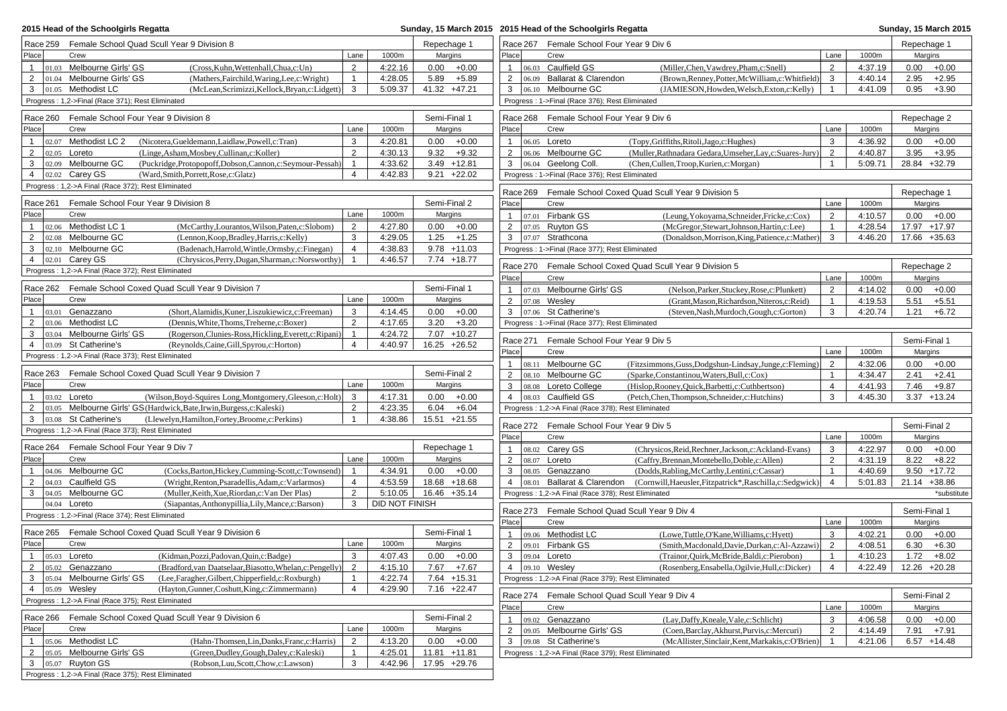| 2015 Head of the Schoolgirls Regatta                                                                                                                                    |                                |                    | Sunday, 15 March 2015 2015 Head of the Schoolgirls Regatta |                                          |                                                    |                                                                                                              |                                  |                    |                                    |
|-------------------------------------------------------------------------------------------------------------------------------------------------------------------------|--------------------------------|--------------------|------------------------------------------------------------|------------------------------------------|----------------------------------------------------|--------------------------------------------------------------------------------------------------------------|----------------------------------|--------------------|------------------------------------|
| Female School Quad Scull Year 9 Division 8<br>Race 259                                                                                                                  |                                |                    | Repechage 1                                                | Race 267 Female School Four Year 9 Div 6 |                                                    | Repechage 1                                                                                                  |                                  |                    |                                    |
| Place<br>Crew                                                                                                                                                           | Lane                           | 1000m              | Margins                                                    | Place                                    | Crew                                               |                                                                                                              | Lane                             | 1000m              | Margins                            |
| $\mathbf{1}$<br>01.03 Melbourne Girls' GS<br>(Cross, Kuhn, Wettenhall, Chua, c: Un)                                                                                     | 2                              | 4:22.16            | $0.00 + 0.00$                                              | $\mathbf{1}$                             | 06.03 Caulfield GS                                 | (Miller, Chen, Vawdrey, Pham, c: Snell)                                                                      | $\overline{2}$                   | 4:37.19            | 0.00<br>$+0.00$                    |
| $\overline{2}$<br>01.04 Melbourne Girls' GS<br>(Mathers, Fairchild, Waring, Lee, c: Wright)                                                                             | $\mathbf{1}$                   | 4:28.05            | 5.89<br>$+5.89$                                            | $\overline{2}$                           | 06.09 Ballarat & Clarendon                         | (Brown, Renney, Potter, McWilliam, c: Whitfield)                                                             | 3                                | 4:40.14            | 2.95<br>$+2.95$                    |
| $ 01.05$ Methodist LC<br>3<br>(McLean, Scrimizzi, Kellock, Bryan, c: Lidgett)                                                                                           | 3                              | 5:09.37            | 41.32 +47.21                                               | 3                                        | 06.10 Melbourne GC                                 | (JAMIESON, Howden, Welsch, Exton, c: Kelly)                                                                  | $\overline{1}$                   | 4:41.09            | 0.95<br>$+3.90$                    |
| Progress: 1,2->Final (Race 371); Rest Eliminated                                                                                                                        |                                |                    |                                                            |                                          | Progress: 1->Final (Race 376); Rest Eliminated     |                                                                                                              |                                  |                    |                                    |
| Female School Four Year 9 Division 8<br>Race 260                                                                                                                        |                                |                    | Semi-Final 1                                               | Race 268                                 | Female School Four Year 9 Div 6                    |                                                                                                              |                                  |                    | Repechage 2                        |
| Place<br>Crew                                                                                                                                                           | Lane                           | 1000m              | Margins                                                    | Place                                    | Crew                                               |                                                                                                              | Lane                             | 1000m              | Margins                            |
| 02.07 Methodist LC 2<br>(Nicotera, Gueldemann, Laidlaw, Powell, c: Tran)<br>$\mathbf{1}$                                                                                | 3                              | 4:20.81            | 0.00<br>$+0.00$                                            | $\mathbf{1}$                             | 06.05 Loreto                                       | (Topy, Griffiths, Ritoli, Jago, c: Hughes)                                                                   | 3                                | 4:36.92            | 0.00<br>$+0.00$                    |
| (Linge, Asham, Mosbey, Cullinan, c: Koller)<br>2<br>02.05 Loreto                                                                                                        | 2                              | 4:30.13            | $9.32 + 9.32$                                              | $\overline{2}$                           | 06.06 Melbourne GC                                 | (Muller, Rathnadara Gedara, Umseher, Lay, c: Suares-Jury                                                     | $\overline{2}$                   | 4:40.87            | 3.95<br>$+3.95$                    |
| 02.09 Melbourne GC<br>(Puckridge, Protopopoff, Dobson, Cannon, c: Seymour-Pessah)<br>3                                                                                  | $\mathbf{1}$                   | 4:33.62            | $3.49 + 12.81$                                             | 3                                        | 06.04 Geelong Coll.                                | (Chen, Cullen, Troop, Kurien, c: Morgan)                                                                     | $\mathbf{1}$                     | 5:09.71            | 28.84 +32.79                       |
| 02.02 Carey GS<br>$\overline{4}$<br>(Ward,Smith,Porrett,Rose,c:Glatz)                                                                                                   | $\overline{4}$                 | 4:42.83            | $9.21 +22.02$                                              |                                          | Progress: 1->Final (Race 376); Rest Eliminated     |                                                                                                              |                                  |                    |                                    |
| Progress: 1,2->A Final (Race 372); Rest Eliminated                                                                                                                      |                                |                    |                                                            | Race 269                                 |                                                    | Female School Coxed Quad Scull Year 9 Division 5                                                             |                                  |                    | Repechage 1                        |
| Race 261<br>Female School Four Year 9 Division 8                                                                                                                        |                                |                    | Semi-Final 2                                               | Place                                    | Crew                                               |                                                                                                              | Lane                             | 1000m              | Margins                            |
| Place<br>Crew                                                                                                                                                           | Lane                           | 1000m              | Margins                                                    | $\mathbf{1}$                             | 07.01 Firbank GS                                   | (Leung, Yokoyama, Schneider, Fricke, c: Cox)                                                                 | $\overline{2}$                   | 4:10.57            | $0.00 + 0.00$                      |
| 02.06 Methodist LC 1<br>(McCarthy,Lourantos,Wilson,Paten,c:Slobom)<br>$\mathbf{1}$                                                                                      | $\overline{2}$                 | 4:27.80            | 0.00<br>$+0.00$                                            | $\overline{2}$                           | 07.05 Ruyton GS                                    | (McGregor, Stewart, Johnson, Hartin, c: Lee)                                                                 | $\mathbf{1}$                     | 4:28.54            | 17.97 +17.97                       |
| 02.08 Melbourne GC<br>$\overline{2}$<br>(Lennon, Koop, Bradley, Harris, c: Kelly)                                                                                       | 3                              | 4:29.05            | $1.25 + 1.25$                                              | 3                                        | 07.07 Strathcona                                   | (Donaldson, Morrison, King, Patience, c: Mather)                                                             | 3                                | 4:46.20            | 17.66 +35.63                       |
| 02.10 Melbourne GC<br>(Badenach, Harrold, Wintle, Ormsby, c: Finegan)<br>3                                                                                              | $\overline{4}$                 | 4:38.83            | $9.78 + 11.03$                                             |                                          | Progress: 1->Final (Race 377); Rest Eliminated     |                                                                                                              |                                  |                    |                                    |
| $02.01$ Carey GS<br>4<br>(Chrysicos, Perry, Dugan, Sharman, c: Norsworthy)                                                                                              | $\overline{1}$                 | 4:46.57            | 7.74 +18.77                                                | Race 270                                 |                                                    | Female School Coxed Quad Scull Year 9 Division 5                                                             |                                  |                    | Repechage 2                        |
| Progress: 1,2->A Final (Race 372); Rest Eliminated                                                                                                                      |                                |                    |                                                            | Place                                    | Crew                                               |                                                                                                              | Lane                             | 1000m              | Margins                            |
| Female School Coxed Quad Scull Year 9 Division 7<br>Race 262                                                                                                            |                                |                    | Semi-Final 1                                               | $\mathbf{1}$                             | 07.03 Melbourne Girls' GS                          | (Nelson, Parker, Stuckey, Rose, c: Plunkett)                                                                 | $\overline{2}$                   | 4:14.02            | 0.00<br>$+0.00$                    |
| Place<br>Crew                                                                                                                                                           | Lane                           | 1000m              | Margins                                                    | $\overline{2}$                           | 07.08 Wesley                                       | (Grant, Mason, Richardson, Niteros, c: Reid)                                                                 | $\overline{1}$                   | 4:19.53            | 5.51<br>$+5.51$                    |
| 03.01 Genazzano<br>(Short, Alamidis, Kuner, Liszukiewicz, c: Freeman)<br>$\mathbf{1}$                                                                                   | 3                              | 4:14.45            | $0.00 + 0.00$                                              | 3                                        | 07.06 St Catherine's                               | (Steven, Nash, Murdoch, Gough, c: Gorton)                                                                    | 3                                | 4:20.74            | $1.21 + 6.72$                      |
| $\overline{2}$<br>03.06 Methodist LC<br>(Dennis, White, Thoms, Treherne, c: Boxer)                                                                                      | $\overline{2}$                 | 4:17.65            | $3.20 + 3.20$                                              |                                          | Progress: 1->Final (Race 377); Rest Eliminated     |                                                                                                              |                                  |                    |                                    |
| 03.04 Melbourne Girls' GS<br>3<br>(Rogerson, Clunies-Ross, Hickling, Everett, c: Ripani)                                                                                | $\mathbf{1}$                   | 4:24.72            | 7.07 +10.27                                                |                                          |                                                    |                                                                                                              |                                  |                    |                                    |
| $\overline{4}$<br>03.09 St Catherine's<br>(Reynolds, Caine, Gill, Spyrou, c: Horton)                                                                                    | $\overline{4}$                 | 4:40.97            | 16.25 +26.52                                               | Race 271                                 | Female School Four Year 9 Div 5                    |                                                                                                              |                                  |                    | Semi-Final 1                       |
| Progress: 1,2->A Final (Race 373); Rest Eliminated                                                                                                                      |                                |                    |                                                            | Place                                    | Crew                                               |                                                                                                              | Lane                             | 1000m              | Margins                            |
| Race 263 Female School Coxed Quad Scull Year 9 Division 7                                                                                                               |                                |                    | Semi-Final 2                                               | $\mathbf{1}$<br>2                        | 08.11 Melbourne GC<br>08.10 Melbourne GC           | (Fitzsimmons, Guss, Dodgshun-Lindsay, Junge, c: Fleming)<br>(Sparke,Constantinou,Waters,Bull,c:Cox)          | $\overline{2}$<br>$\mathbf{1}$   | 4:32.06<br>4:34.47 | 0.00<br>$+0.00$<br>2.41<br>$+2.41$ |
| Place<br>Crew                                                                                                                                                           | Lane                           | 1000m              | Margins                                                    | 3                                        | 08.08 Loreto College                               | (Hislop, Rooney, Quick, Barbetti, c: Cuthbertson)                                                            | $\overline{4}$                   | 4:41.93            | 7.46<br>$+9.87$                    |
| $\mathbf{1}$<br>(Wilson, Boyd-Squires Long, Montgomery, Gleeson, c: Holt)<br>03.02 <b>Loreto</b>                                                                        | 3                              | 4:17.31            | $0.00 + 0.00$                                              | $\overline{4}$                           | 08.03 Caulfield GS                                 | (Petch, Chen, Thompson, Schneider, c: Hutchins)                                                              | 3                                | 4:45.30            | $3.37 + 13.24$                     |
| $\overline{2}$<br>03.05 Melbourne Girls' GS (Hardwick, Bate, Irwin, Burgess, c: Kaleski)                                                                                | $\overline{2}$                 | 4:23.35            | $+6.04$<br>6.04                                            |                                          | Progress: 1,2->A Final (Race 378); Rest Eliminated |                                                                                                              |                                  |                    |                                    |
| 3<br>03.08 St Catherine's<br>(Llewelyn, Hamilton, Fortey, Broome, c: Perkins)                                                                                           | $\mathbf{1}$                   | 4:38.86            | 15.51 +21.55                                               |                                          |                                                    |                                                                                                              |                                  |                    |                                    |
| Progress: 1,2->A Final (Race 373); Rest Eliminated                                                                                                                      |                                |                    |                                                            |                                          | Race 272 Female School Four Year 9 Div 5           |                                                                                                              |                                  |                    | Semi-Final 2                       |
| Female School Four Year 9 Div 7                                                                                                                                         |                                |                    |                                                            | Place                                    | Crew                                               |                                                                                                              | Lane                             | 1000m              | Margins                            |
| Race 264<br>Place<br>Crew                                                                                                                                               | Lane                           | 1000m              | Repechage 1<br>Margins                                     | $\mathbf{1}$                             | 08.02 Carey GS                                     | (Chrysicos, Reid, Rechner, Jackson, c: Ackland-Evans)                                                        | 3                                | 4:22.97            | 0.00<br>$+0.00$                    |
| 04.06 Melbourne GC<br>(Cocks, Barton, Hickey, Cumming-Scott, c: Townsend)<br>$\overline{1}$                                                                             | $\overline{1}$                 | 4:34.91            | $0.00 + 0.00$                                              | $\overline{2}$<br>3                      | 08.07 Loreto<br>08.05 Genazzano                    | (Caffry,Brennan,Montebello,Doble,c:Allen)                                                                    | $\overline{2}$<br>$\overline{1}$ | 4:31.19<br>4:40.69 | 8.22<br>$+8.22$<br>$9.50 + 17.72$  |
| 04.03 Caulfield GS<br>(Wright, Renton, Psaradellis, Adam, c: Varlarmos)<br>$\overline{2}$                                                                               | 4                              | 4:53.59            | 18.68 +18.68                                               | $\overline{4}$<br>08.01                  | Ballarat & Clarendon                               | (Dodds, Rabling, McCarthy, Lentini, c: Cassar)<br>(Cornwill, Haeusler, Fitzpatrick*, Raschilla, c: Sedgwick) | $\overline{4}$                   | 5:01.83            | 21.14 +38.86                       |
| 04.05 Melbourne GC<br>3<br>(Muller, Keith, Xue, Riordan, c: Van Der Plas)                                                                                               | 2                              | 5:10.05            | 16.46 +35.14                                               |                                          | Progress: 1,2->A Final (Race 378); Rest Eliminated |                                                                                                              |                                  |                    | *substitute                        |
| 04.04 <b>Loreto</b><br>(Siapantas, Anthonypillia, Lily, Mance, c: Barson)                                                                                               | 3                              | DID NOT FINISH     |                                                            |                                          |                                                    |                                                                                                              |                                  |                    |                                    |
| Progress: 1,2->Final (Race 374); Rest Eliminated                                                                                                                        |                                |                    |                                                            | Race 273                                 | Female School Quad Scull Year 9 Div 4              |                                                                                                              |                                  |                    | Semi-Final 1                       |
|                                                                                                                                                                         |                                |                    |                                                            | Place                                    | Crew                                               |                                                                                                              | Lane                             | 1000m              | Margins                            |
| Race 265 Female School Coxed Quad Scull Year 9 Division 6                                                                                                               |                                |                    | Semi-Final 1                                               | $\mathbf{1}$                             | 09.06 Methodist LC                                 | (Lowe,Tuttle,O'Kane,Williams,c:Hyett)                                                                        | 3                                | 4:02.21            | 0.00<br>$+0.00$                    |
| Place<br>Crew                                                                                                                                                           | Lane                           | 1000m              | Margins                                                    | $\overline{2}$                           | 09.01 Firbank GS                                   | (Smith, Macdonald, Davie, Durkan, c: Al-Azzawi)                                                              | $\overline{2}$                   | 4:08.51            | 6.30<br>$+6.30$                    |
| $\mathbf{1}$<br>$ 05.03 $ Loreto<br>(Kidman, Pozzi, Padovan, Quin, c: Badge)                                                                                            | 3                              | 4:07.43            | $0.00 + 0.00$                                              | 3                                        | 09.04 Loreto                                       | (Trainor, Quirk, McBride, Baldi, c: Pierobon)                                                                | $\mathbf{1}$                     | 4:10.23            | 1.72<br>$+8.02$                    |
| $\overline{2}$<br>$ 05.02 \t\t Genazzano$<br>(Bradford, van Daatselaar, Biasotto, Whelan, c: Pengelly)                                                                  | $\overline{2}$                 | 4:15.10            | 7.67 +7.67                                                 | 4 09.10 Wesley                           |                                                    | (Rosenberg, Ensabella, Ogilvie, Hull, c: Dicker)                                                             | 4                                | 4:22.49            | 12.26 +20.28                       |
| 3<br>05.04 Melbourne Girls' GS<br>(Lee,Faragher,Gilbert,Chipperfield,c:Roxburgh)<br>$\overline{4}$<br>(Hayton, Gunner, Coshutt, King, c: Zimmermann)<br>$ 05.09$ Wesley | $\mathbf{1}$<br>$\overline{4}$ | 4:22.74<br>4:29.90 | 7.64 +15.31<br>7.16 +22.47                                 |                                          | Progress: 1,2->A Final (Race 379); Rest Eliminated |                                                                                                              |                                  |                    |                                    |
| Progress: 1,2->A Final (Race 375); Rest Eliminated                                                                                                                      |                                |                    |                                                            |                                          | Race 274 Female School Quad Scull Year 9 Div 4     |                                                                                                              |                                  |                    | Semi-Final 2                       |
|                                                                                                                                                                         |                                |                    |                                                            | Place                                    | Crew                                               |                                                                                                              | Lane                             | 1000m              | Margins                            |
| Race 266 Female School Coxed Quad Scull Year 9 Division 6                                                                                                               |                                |                    | Semi-Final 2                                               | $\mathbf{1}$                             | 09.02 Genazzano                                    | (Lay,Daffy,Kneale,Vale,c:Schlicht)                                                                           | 3                                | 4:06.58            | $0.00 + 0.00$                      |
| Place<br>Crew                                                                                                                                                           | Lane                           | 1000m              | Margins                                                    | $\overline{2}$                           | 09.05 Melbourne Girls' GS                          | (Coen, Barclay, Akhurst, Purvis, c: Mercuri)                                                                 | $\overline{2}$                   | 4:14.49            | $7.91 + 7.91$                      |
| 05.06 Methodist LC<br>$\overline{1}$<br>(Hahn-Thomsen, Lin, Danks, Franc, c: Harris)                                                                                    | $\overline{2}$                 | 4:13.20            | $0.00 + 0.00$                                              | 3                                        | 09.08 St Catherine's                               | (McAllister, Sinclair, Kent, Markakis, c: O'Brien)                                                           |                                  | 4:21.06            | $6.57 + 14.48$                     |
| 05.05 Melbourne Girls' GS<br>$\overline{2}$<br>(Green,Dudley,Gough,Daley,c:Kaleski)                                                                                     | $\mathbf{1}$                   | 4:25.01            | $11.81 + 11.81$                                            |                                          | Progress: 1,2->A Final (Race 379); Rest Eliminated |                                                                                                              |                                  |                    |                                    |
| $3$ 05.07 Ruyton GS<br>(Robson, Luu, Scott, Chow, c: Lawson)                                                                                                            | 3                              | 4:42.96            | 17.95 +29.76                                               |                                          |                                                    |                                                                                                              |                                  |                    |                                    |
| Progress: 1,2->A Final (Race 375); Rest Eliminated                                                                                                                      |                                |                    |                                                            |                                          |                                                    |                                                                                                              |                                  |                    |                                    |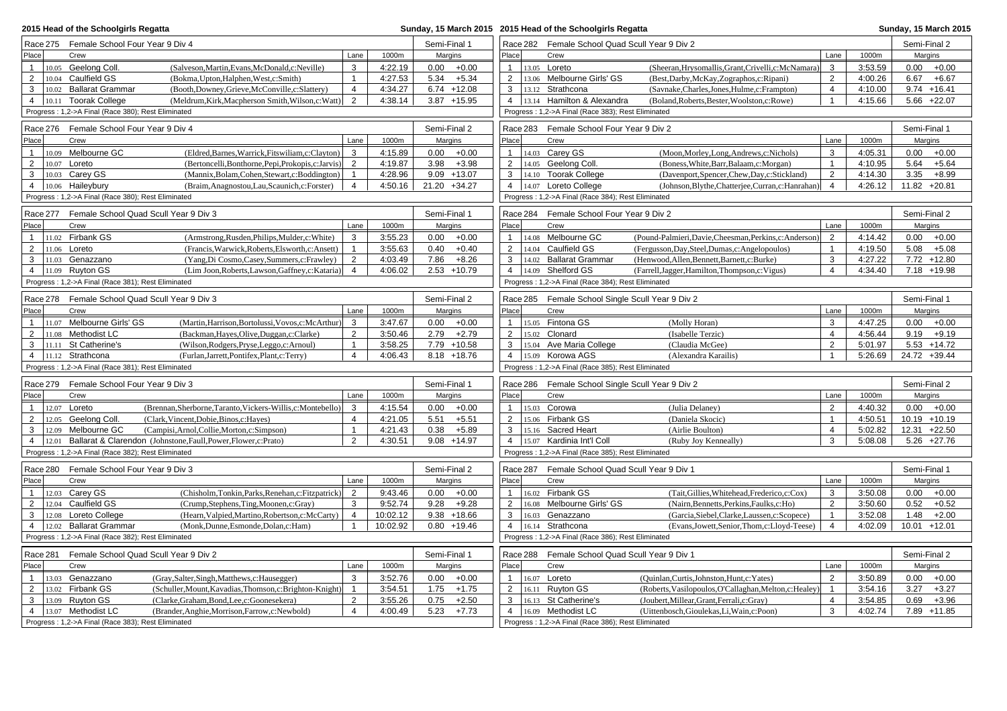| 2015 Head of the Schoolgirls Regatta              |                                                                                                        |                                                                  |                                |              |      | Sunday, 15 March 2015 2015 Head of the Schoolgirls Regatta |                                                    |  |                                                                        |                                                         |                |              |              | Sunday, 15 March 2015 |
|---------------------------------------------------|--------------------------------------------------------------------------------------------------------|------------------------------------------------------------------|--------------------------------|--------------|------|------------------------------------------------------------|----------------------------------------------------|--|------------------------------------------------------------------------|---------------------------------------------------------|----------------|--------------|--------------|-----------------------|
|                                                   | Race 275 Female School Four Year 9 Div 4                                                               |                                                                  |                                | Semi-Final 1 |      |                                                            | Race 282 Female School Quad Scull Year 9 Div 2     |  |                                                                        |                                                         |                | Semi-Final 2 |              |                       |
| Place                                             | Crew                                                                                                   |                                                                  | Lane                           | 1000m        |      | Margins                                                    | Place                                              |  | Crew                                                                   |                                                         | Lane           | 1000m        |              | Margins               |
| $\mathbf{1}$                                      | 10.05 Geelong Coll.                                                                                    | (Salveson, Martin, Evans, McDonald, c: Neville)                  | 3                              | 4:22.19      |      | $0.00 + 0.00$                                              | $\mathbf{1}$                                       |  | 13.05 Loreto                                                           | (Sheeran, Hrysomallis, Grant, Crivelli, c: McNamara)    | 3              | 3:53.59      | 0.00         | $+0.00$               |
| $\overline{2}$                                    | 10.04 Caulfield GS                                                                                     | (Bokma, Upton, Halphen, West, c: Smith)                          | $\mathbf{1}$                   | 4:27.53      | 5.34 | $+5.34$                                                    | $\overline{2}$                                     |  | 13.06 Melbourne Girls' GS                                              | (Best,Darby,McKay,Zographos,c:Ripani)                   | 2              | 4:00.26      | 6.67         | $+6.67$               |
| 3                                                 | 10.02 Ballarat Grammar                                                                                 | (Booth,Downey,Grieve,McConville,c:Slattery)                      | $\overline{4}$                 | 4:34.27      |      | $6.74 + 12.08$                                             | 3                                                  |  | 13.12 Strathcona                                                       | (Savnake,Charles,Jones,Hulme,c:Frampton)                | $\overline{4}$ | 4:10.00      |              | $9.74 + 16.41$        |
|                                                   | 4   10.11 Toorak College                                                                               | (Meldrum, Kirk, Macpherson Smith, Wilson, c: Watt)               | $\overline{2}$                 | 4:38.14      |      | $3.87 + 15.95$                                             | $\overline{4}$                                     |  | 13.14 Hamilton & Alexandra                                             | (Boland, Roberts, Bester, Woolston, c: Rowe)            |                | 4:15.66      |              | $5.66 +22.07$         |
|                                                   | Progress: 1,2->A Final (Race 380); Rest Eliminated                                                     |                                                                  |                                |              |      |                                                            |                                                    |  | Progress: 1,2->A Final (Race 383); Rest Eliminated                     |                                                         |                |              |              |                       |
|                                                   |                                                                                                        |                                                                  |                                |              |      |                                                            |                                                    |  |                                                                        |                                                         |                |              |              |                       |
|                                                   | Race 276 Female School Four Year 9 Div 4                                                               |                                                                  |                                |              |      | Semi-Final 2                                               |                                                    |  | Race 283 Female School Four Year 9 Div 2                               |                                                         |                |              | Semi-Final 1 |                       |
| Place                                             | Crew                                                                                                   |                                                                  | Lane                           | 1000m        |      | Margins                                                    | Place                                              |  | Crew                                                                   |                                                         | Lane           | 1000m        |              | Margins               |
| 1                                                 | 10.09 Melbourne GC                                                                                     | (Eldred, Barnes, Warrick, Fitswiliam, c: Clayton)                | 3                              | 4:15.89      | 0.00 | $+0.00$                                                    | $\mathbf{1}$                                       |  | 14.03 Carey GS                                                         | (Moon, Morley, Long, Andrews, c: Nichols)               | 3              | 4:05.31      | 0.00         | $+0.00$               |
| $\overline{2}$                                    | 10.07 Loreto                                                                                           | (Bertoncelli, Bonthorne, Pepi, Prokopis, c: Jarvis)              | 2                              | 4:19.87      | 3.98 | $+3.98$                                                    | $\overline{2}$                                     |  | 14.05 Geelong Coll.                                                    | (Boness, White, Barr, Balaam, c: Morgan)                | $\overline{1}$ | 4:10.95      | 5.64         | $+5.64$               |
| 3                                                 | 10.03 Carey GS                                                                                         | (Mannix, Bolam, Cohen, Stewart, c: Boddington)                   | $\overline{1}$                 | 4:28.96      |      | $9.09 + 13.07$                                             | 3                                                  |  | 14.10 Toorak College                                                   | (Davenport,Spencer,Chew,Day,c:Stickland)                | 2              | 4:14.30      | 3.35         | $+8.99$               |
| $\overline{4}$                                    | 10.06 Haileybury                                                                                       | (Braim, Anagnostou, Lau, Scaunich, c: Forster)                   | 4                              | 4:50.16      |      | 21.20 +34.27                                               | $\overline{4}$                                     |  | 14.07 Loreto College                                                   | (Johnson, Blythe, Chatterjee, Curran, c: Hanrahan)      | $\overline{4}$ | 4:26.12      |              | 11.82 +20.81          |
|                                                   | Progress: 1,2->A Final (Race 380); Rest Eliminated                                                     |                                                                  |                                |              |      |                                                            |                                                    |  | Progress: 1,2->A Final (Race 384); Rest Eliminated                     |                                                         |                |              |              |                       |
| Race 277                                          |                                                                                                        | Female School Quad Scull Year 9 Div 3                            |                                |              |      | Semi-Final 1                                               | Race 284                                           |  | Female School Four Year 9 Div 2                                        |                                                         |                |              |              | Semi-Final 2          |
| Place                                             | Crew                                                                                                   |                                                                  | Lane                           | 1000m        |      | Margins                                                    | Place                                              |  | Crew                                                                   |                                                         | Lane           | 1000m        |              | Margins               |
| 1                                                 | 11.02 Firbank GS                                                                                       | (Armstrong, Rusden, Philips, Mulder, c: White)                   | 3                              | 3:55.23      | 0.00 | $+0.00$                                                    | $\mathbf{1}$                                       |  | 14.08 Melbourne GC                                                     | (Pound-Palmieri, Davie, Cheesman, Perkins, c: Anderson) | 2              | 4:14.42      | 0.00         | $+0.00$               |
| $\overline{2}$                                    | 11.06 Loreto                                                                                           | (Francis, Warwick, Roberts, Elsworth, c: Ansett)                 | $\mathbf{1}$                   | 3:55.63      | 0.40 | $+0.40$                                                    | $\overline{2}$                                     |  | 14.04 Caulfield GS                                                     | (Fergusson, Day, Steel, Dumas, c: Angelopoulos)         | $\overline{1}$ | 4:19.50      | 5.08         | $+5.08$               |
| 3                                                 | 11.03 Genazzano                                                                                        | (Yang, Di Cosmo, Casey, Summers, c: Frawley)                     | 2                              | 4:03.49      | 7.86 | $+8.26$                                                    | 3                                                  |  | 14.02 Ballarat Grammar                                                 | (Henwood, Allen, Bennett, Barnett, c: Burke)            | 3              | 4:27.22      |              | 7.72 +12.80           |
|                                                   | 4   $11.09$ Ruyton GS                                                                                  | (Lim Joon, Roberts, Lawson, Gaffney, c: Kataria)                 | $\overline{4}$                 | 4:06.02      |      | $2.53 + 10.79$                                             |                                                    |  | 4 14.09 Shelford GS                                                    | (Farrell, Jagger, Hamilton, Thompson, c: Vigus)         | $\overline{4}$ | 4:34.40      |              | 7.18 +19.98           |
|                                                   | Progress: 1,2->A Final (Race 381); Rest Eliminated                                                     |                                                                  |                                |              |      |                                                            |                                                    |  | Progress: 1,2->A Final (Race 384); Rest Eliminated                     |                                                         |                |              |              |                       |
| Race 278                                          |                                                                                                        | Female School Quad Scull Year 9 Div 3                            |                                |              |      | Semi-Final 2                                               |                                                    |  | Race 285 Female School Single Scull Year 9 Div 2                       |                                                         |                |              | Semi-Final 1 |                       |
| Place                                             | Crew                                                                                                   |                                                                  | Lane                           | 1000m        |      | Margins                                                    | Place                                              |  | Crew                                                                   |                                                         | Lane           | 1000m        |              | Margins               |
|                                                   |                                                                                                        |                                                                  |                                |              |      |                                                            |                                                    |  | 15.05 Fintona GS                                                       |                                                         | 3              |              |              |                       |
| $\mathbf{1}$                                      | 11.07 Melbourne Girls' GS                                                                              | (Martin, Harrison, Bortolussi, Vovos, c: McArthur)               | 3                              | 3:47.67      |      | $0.00 + 0.00$                                              | $\mathbf{1}$                                       |  |                                                                        | (Molly Horan)                                           | $\overline{4}$ | 4:47.25      | 0.00         | $+0.00$               |
| $\overline{2}$                                    | $11.08$ Methodist LC                                                                                   | (Backman, Hayes, Olive, Duggan, c: Clarke)                       | $\overline{2}$<br>$\mathbf{1}$ | 3:50.46      | 2.79 | $+2.79$                                                    | $\overline{2}$                                     |  | 15.02 Clonard                                                          | (Isabelle Terzic)                                       | $\overline{2}$ | 4:56.44      | 9.19         | $+9.19$               |
| 3                                                 | 11.11 St Catherine's                                                                                   | (Wilson, Rodgers, Pryse, Leggo, c: Arnoul)                       |                                | 3:58.25      |      | 7.79 +10.58                                                | 3                                                  |  | 15.04 Ave Maria College                                                | (Claudia McGee)                                         | $\overline{1}$ | 5:01.97      |              | $5.53 + 14.72$        |
|                                                   | 4 11.12 Strathcona<br>Progress: 1,2->A Final (Race 381); Rest Eliminated                               | (Furlan, Jarrett, Pontifex, Plant, c: Terry)                     | $\overline{4}$                 | 4:06.43      |      | $8.18 + 18.76$                                             | $\overline{4}$                                     |  | 15.09 Korowa AGS<br>Progress: 1,2->A Final (Race 385); Rest Eliminated | (Alexandra Karailis)                                    |                | 5:26.69      |              | 24.72 +39.44          |
|                                                   |                                                                                                        |                                                                  |                                |              |      |                                                            |                                                    |  |                                                                        |                                                         |                |              |              |                       |
|                                                   | Race 279 Female School Four Year 9 Div 3                                                               |                                                                  |                                |              |      | Semi-Final 1                                               |                                                    |  | Race 286 Female School Single Scull Year 9 Div 2                       |                                                         |                |              |              | Semi-Final 2          |
| Place                                             | Crew                                                                                                   |                                                                  | Lane                           | 1000m        |      | Margins                                                    | Place                                              |  | Crew                                                                   |                                                         | Lane           | 1000m        |              | Margins               |
| $\mathbf{1}$                                      | 12.07 Loreto                                                                                           | (Brennan, Sherborne, Taranto, Vickers-Willis, c: Montebello)     | 3                              | 4:15.54      | 0.00 | $+0.00$                                                    | $\mathbf{1}$                                       |  | 15.03 Corowa                                                           | (Julia Delaney)                                         | 2              | 4:40.32      | 0.00         | $+0.00$               |
| $\overline{2}$                                    | 12.05 Geelong Coll.                                                                                    | (Clark, Vincent, Dobie, Binos, c: Hayes)                         | $\overline{4}$                 | 4:21.05      | 5.51 | $+5.51$                                                    | 2                                                  |  | 15.06 Firbank GS                                                       | (Daniela Skocic)                                        | $\overline{1}$ | 4:50.51      |              | $10.19 + 10.19$       |
| 3                                                 | 12.09 Melbourne GC                                                                                     | (Campisi, Arnol, Collie, Morton, c: Simpson)                     | $\mathbf{1}$                   | 4:21.43      | 0.38 | $+5.89$                                                    | $\mathbf{3}$                                       |  | 15.16 Sacred Heart                                                     | (Airlie Boulton)                                        | $\overline{4}$ | 5:02.82      |              | 12.31 +22.50          |
| $\overline{4}$<br>12.01                           |                                                                                                        | Ballarat & Clarendon (Johnstone, Faull, Power, Flower, c: Prato) | 2                              | 4:30.51      |      | $9.08 + 14.97$                                             | $\overline{4}$                                     |  | 15.07 Kardinia Int'l Coll                                              | (Ruby Joy Kenneally)                                    | 3              | 5:08.08      |              | $5.26 +27.76$         |
|                                                   | Progress: 1,2->A Final (Race 382); Rest Eliminated                                                     |                                                                  |                                |              |      |                                                            |                                                    |  | Progress: 1,2->A Final (Race 385); Rest Eliminated                     |                                                         |                |              |              |                       |
| Race 280                                          | Female School Four Year 9 Div 3                                                                        |                                                                  |                                |              |      | Semi-Final 2                                               | Race 287                                           |  | Female School Quad Scull Year 9 Div 1                                  |                                                         |                |              | Semi-Final 1 |                       |
| Place                                             | Crew                                                                                                   |                                                                  | Lane                           | 1000m        |      | Margins                                                    | Place                                              |  | Crew                                                                   |                                                         | Lane           | 1000m        |              | Margins               |
| 1                                                 | 12.03 Carey GS                                                                                         | (Chisholm,Tonkin,Parks,Renehan,c:Fitzpatrick)                    | 2                              | 9:43.46      |      | $0.00 + 0.00$                                              | $\mathbf{1}$                                       |  | 16.02 Firbank GS                                                       | (Tait, Gillies, Whitehead, Frederico, c: Cox)           | 3              | 3:50.08      | 0.00         | $+0.00$               |
| $\overline{2}$                                    | 12.04 Caulfield GS                                                                                     | (Crump,Stephens,Ting,Moonen,c:Gray)                              | 3                              | 9:52.74      | 9.28 | $+9.28$                                                    | $\overline{2}$                                     |  | 16.08 Melbourne Girls' GS                                              | (Nairn, Bennetts, Perkins, Faulks, c: Ho)               | $\overline{2}$ | 3:50.60      | 0.52         | $+0.52$               |
| 3                                                 | 12.08 Loreto College                                                                                   | (Hearn, Valpied, Martino, Robertson, c: McCarty)                 | 4                              | 10:02.12     |      | $9.38 + 18.66$                                             | 3                                                  |  | 16.03 Genazzano                                                        | (Garcia, Siebel, Clarke, Laussen, c: Scopece)           | $\overline{1}$ | 3:52.08      | 1.48         | $+2.00$               |
|                                                   | 4   12.02 Ballarat Grammar                                                                             | (Monk,Dunne,Esmonde,Dolan,c:Ham)                                 | $\mathbf{1}$                   | 10:02.92     |      | $0.80 + 19.46$                                             | $\overline{4}$                                     |  | 16.14 Strathcona                                                       | (Evans, Jowett, Senior, Thom, c: Lloyd-Teese)           | $\overline{4}$ | 4:02.09      |              | $10.01 + 12.01$       |
|                                                   | Progress: 1,2->A Final (Race 382); Rest Eliminated                                                     |                                                                  |                                |              |      |                                                            |                                                    |  | Progress: 1,2->A Final (Race 386); Rest Eliminated                     |                                                         |                |              |              |                       |
|                                                   |                                                                                                        |                                                                  |                                |              |      |                                                            |                                                    |  |                                                                        |                                                         |                |              |              |                       |
| Race 281<br>Female School Quad Scull Year 9 Div 2 |                                                                                                        |                                                                  |                                |              |      | Semi-Final 1                                               | Race 288                                           |  | Female School Quad Scull Year 9 Div 1                                  |                                                         |                |              |              | Semi-Final 2          |
| Place                                             | Crew                                                                                                   |                                                                  | Lane                           | 1000m        |      | Margins                                                    | Place                                              |  | Crew                                                                   |                                                         | Lane           | 1000m        |              | Margins               |
|                                                   | 13.03 Genazzano                                                                                        | (Gray, Salter, Singh, Matthews, c: Hausegger)                    | 3                              | 3:52.76      | 0.00 | $+0.00$                                                    | $\mathbf{1}$                                       |  | 16.07 Loreto                                                           | (Quinlan, Curtis, Johnston, Hunt, c: Yates)             | $\overline{2}$ | 3:50.89      | 0.00         | $+0.00$               |
| $\overline{2}$                                    | 13.02 Firbank GS                                                                                       | (Schuller, Mount, Kavadias, Thomson, c: Brighton-Knight)         | $\mathbf{1}$                   | 3:54.51      | 1.75 | $+1.75$                                                    | $\overline{2}$                                     |  | 16.11 Ruyton GS                                                        | (Roberts, Vasilopoulos, O'Callaghan, Melton, c: Healey) | -1             | 3:54.16      | 3.27         | $+3.27$               |
| 3                                                 | 13.09 Ruyton GS                                                                                        | (Clarke, Graham, Bond, Lee, c: Goonesekera)                      | 2                              | 3:55.26      | 0.75 | $+2.50$                                                    | 3                                                  |  | 16.13 St Catherine's                                                   | (Joubert, Millear, Grant, Ferrali, c: Gray)             | $\overline{4}$ | 3:54.85      | 0.69         | $+3.96$               |
|                                                   | 4   13.07 Methodist LC<br>(Brander, Anghie, Morrison, Farrow, c: Newbold)<br>$\overline{4}$<br>4:00.49 |                                                                  |                                |              |      | $5.23 + 7.73$                                              | $\overline{4}$                                     |  | 16.09 Methodist LC                                                     | (Uittenbosch, Gioulekas, Li, Wain, c: Poon)             | 3              | 4:02.74      |              | 7.89 +11.85           |
|                                                   | Progress: 1,2->A Final (Race 383); Rest Eliminated                                                     |                                                                  |                                |              |      |                                                            | Progress: 1,2->A Final (Race 386); Rest Eliminated |  |                                                                        |                                                         |                |              |              |                       |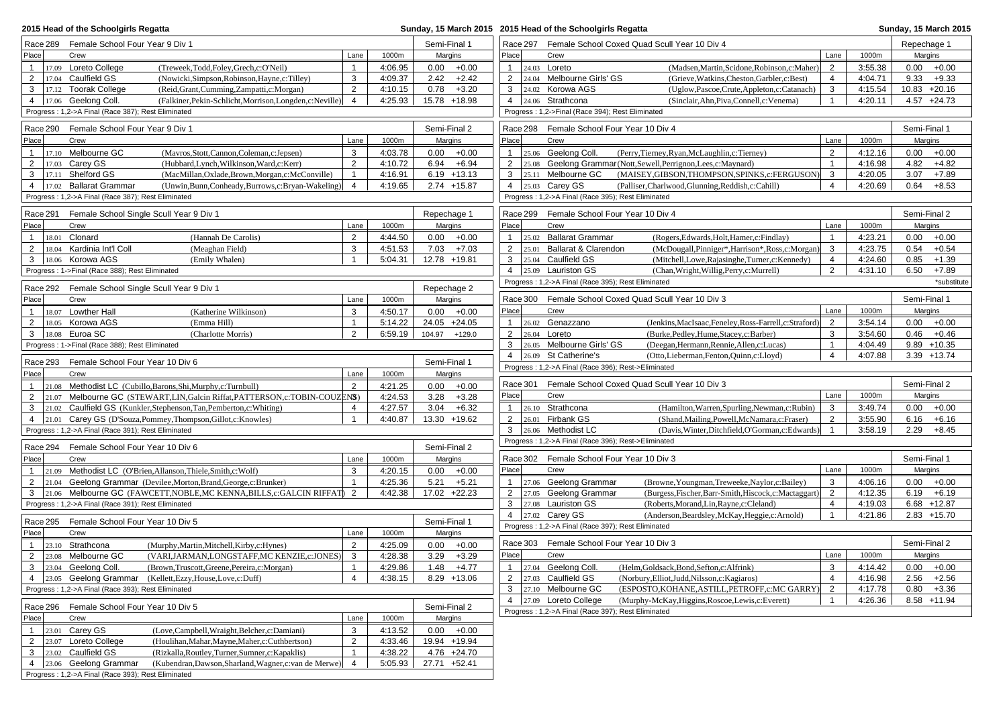| 2015 Head of the Schoolgirls Regatta                                                                                                   |                                  |                    |              |                         |                                | Sunday, 15 March 2015 2015 Head of the Schoolgirls Regatta |                                                       |                                                                                                    |                     | Sunday, 15 March 2015 |                                    |             |
|----------------------------------------------------------------------------------------------------------------------------------------|----------------------------------|--------------------|--------------|-------------------------|--------------------------------|------------------------------------------------------------|-------------------------------------------------------|----------------------------------------------------------------------------------------------------|---------------------|-----------------------|------------------------------------|-------------|
| Race 289 Female School Four Year 9 Div 1                                                                                               |                                  |                    | Semi-Final 1 |                         |                                |                                                            | Race 297 Female School Coxed Quad Scull Year 10 Div 4 |                                                                                                    |                     | Repechage 1           |                                    |             |
| Place<br>Crew                                                                                                                          | Lane                             | 1000m              |              | Margins                 | Place                          |                                                            | Crew                                                  |                                                                                                    | Lane                | 1000m                 | Margins                            |             |
| 17.09 Loreto College<br>(Treweek,Todd,Foley,Grech,c:O'Neil)<br>$\mathbf{1}$                                                            | $\mathbf{1}$                     | 4:06.95            |              | $0.00 + 0.00$           | $\mathbf{1}$                   |                                                            | 24.03 <b>Loreto</b>                                   | (Madsen, Martin, Scidone, Robinson, c: Maher)                                                      | 2                   | 3:55.38               | 0.00<br>$+0.00$                    |             |
| $\overline{2}$<br>17.04 Caulfield GS<br>(Nowicki, Simpson, Robinson, Hayne, c: Tilley)                                                 | 3                                | 4:09.37            | 2.42         | $+2.42$                 | $\overline{2}$                 |                                                            | 24.04 Melbourne Girls' GS                             | (Grieve, Watkins, Cheston, Garbler, c: Best)                                                       | $\overline{4}$      | 4:04.71               | $9.33 + 9.33$                      |             |
| 17.12 Toorak College<br>3<br>(Reid, Grant, Cumming, Zampatti, c: Morgan)                                                               | 2                                | 4:10.15            | 0.78         | $+3.20$                 | 3                              |                                                            | 24.02 Korowa AGS                                      | (Uglow, Pascoe, Crute, Appleton, c: Catanach)                                                      | 3                   | 4:15.54               | $10.83 + 20.16$                    |             |
| $4$   17.06 Geelong Coll.<br>(Falkiner, Pekin-Schlicht, Morrison, Longden, c: Neville)                                                 | $\overline{4}$                   | 4:25.93            |              | 15.78 +18.98            | 4                              |                                                            | 24.06 Strathcona                                      | (Sinclair, Ahn, Piva, Connell, c: Venema)                                                          | $\overline{1}$      | 4:20.11               | $4.57 +24.73$                      |             |
| Progress: 1,2->A Final (Race 387); Rest Eliminated                                                                                     |                                  |                    |              |                         |                                |                                                            | Progress: 1,2->Final (Race 394); Rest Eliminated      |                                                                                                    |                     |                       |                                    |             |
| Female School Four Year 9 Div 1<br>Race 290                                                                                            |                                  |                    |              | Semi-Final 2            |                                |                                                            | Race 298 Female School Four Year 10 Div 4             |                                                                                                    |                     |                       | Semi-Final 1                       |             |
| Place<br>Crew                                                                                                                          | Lane                             | 1000m              |              | Margins                 | Place                          |                                                            | Crew                                                  |                                                                                                    | Lane                | 1000m                 | Margins                            |             |
| 17.10 Melbourne GC<br>(Mavros, Stott, Cannon, Coleman, c: Jepsen)<br>$\mathbf{1}$                                                      | 3                                | 4:03.78            |              | $0.00 + 0.00$           | $\mathbf{1}$                   |                                                            | 25.06 Geelong Coll.                                   | (Perry, Tierney, Ryan, McLaughlin, c: Tierney)                                                     | 2                   | 4:12.16               | 0.00<br>$+0.00$                    |             |
| 2<br>17.03 Carey GS<br>(Hubbard, Lynch, Wilkinson, Ward, c: Kerr)                                                                      | $\overline{2}$                   | 4:10.72            |              | $6.94 + 6.94$           | $\overline{2}$                 |                                                            |                                                       | 25.08 Geelong Grammar (Nott, Sewell, Perrignon, Lees, c: Maynard)                                  | $\overline{1}$      | 4:16.98               | 4.82<br>$+4.82$                    |             |
| 3<br>17.11 Shelford GS<br>(MacMillan, Oxlade, Brown, Morgan, c: McConville)                                                            | $\mathbf{1}$                     | 4:16.91            |              | $6.19 + 13.13$          | 3                              |                                                            | 25.11 Melbourne GC                                    | (MAISEY, GIBSON, THOMPSON, SPINKS, c: FERGUSON)                                                    | 3                   | 4:20.05               | $+7.89$<br>3.07                    |             |
| 17.02 Ballarat Grammar<br>(Unwin, Bunn, Conheady, Burrows, c: Bryan-Wakeling)<br>4                                                     | $\overline{4}$                   | 4:19.65            |              | 2.74 +15.87             | 4                              |                                                            | 25.03 Carey GS                                        | (Palliser, Charlwood, Glunning, Reddish, c: Cahill)                                                | $\overline{4}$      | 4:20.69               | 0.64<br>$+8.53$                    |             |
| Progress: 1,2->A Final (Race 387); Rest Eliminated                                                                                     |                                  |                    |              |                         |                                |                                                            | Progress: 1,2->A Final (Race 395); Rest Eliminated    |                                                                                                    |                     |                       |                                    |             |
| Race 291<br>Female School Single Scull Year 9 Div 1                                                                                    |                                  |                    |              | Repechage 1             |                                | Race 299                                                   | Female School Four Year 10 Div 4                      |                                                                                                    |                     |                       | Semi-Final 2                       |             |
| Place<br>Crew                                                                                                                          | Lane                             | 1000m              |              | Margins                 | Place                          |                                                            | Crew                                                  |                                                                                                    | Lane                | 1000m                 | Margins                            |             |
| 18.01 Clonard<br>(Hannah De Carolis)<br>$\overline{1}$                                                                                 | $\overline{2}$                   | 4:44.50            |              | $0.00 + 0.00$           | $\mathbf{1}$                   |                                                            | 25.02 Ballarat Grammar                                | (Rogers, Edwards, Holt, Hamer, c: Findlay)                                                         | $\mathbf 1$         | 4:23.21               | 0.00<br>$+0.00$                    |             |
| $\overline{2}$<br>18.04 Kardinia Int'l Coll<br>(Meaghan Field)                                                                         | 3                                | 4:51.53            | 7.03         | $+7.03$                 | $\overline{2}$                 |                                                            | 25.01 Ballarat & Clarendon                            | (McDougall, Pinniger*, Harrison*, Ross, c: Morgan)                                                 | 3                   | 4:23.75               | 0.54<br>$+0.54$                    |             |
| 18.06 Korowa AGS<br>3<br>(Emily Whalen)                                                                                                | $\overline{1}$                   | 5:04.31            |              | 12.78 +19.81            | 3                              |                                                            | 25.04 Caulfield GS                                    | (Mitchell,Lowe,Rajasinghe,Turner,c:Kennedy)                                                        | $\overline{4}$      | 4:24.60               | 0.85<br>$+1.39$                    |             |
| Progress: 1->Final (Race 388); Rest Eliminated                                                                                         |                                  |                    |              |                         | $\overline{4}$                 |                                                            | 25.09 Lauriston GS                                    | (Chan, Wright, Willig, Perry, c: Murrell)                                                          | 2                   | 4:31.10               | 6.50<br>$+7.89$                    |             |
| Race 292 Female School Single Scull Year 9 Div 1                                                                                       |                                  |                    |              | Repechage 2             |                                |                                                            | Progress: 1,2->A Final (Race 395); Rest Eliminated    |                                                                                                    |                     |                       |                                    | *substitute |
| Place<br>Crew                                                                                                                          | Lane                             | 1000m              |              | Margins                 |                                | Race 300                                                   |                                                       | Female School Coxed Quad Scull Year 10 Div 3                                                       |                     |                       | Semi-Final 1                       |             |
| 18.07 Lowther Hall<br>(Katherine Wilkinson)                                                                                            | 3                                | 4:50.17            |              | $0.00 + 0.00$           | Place                          |                                                            | Crew                                                  |                                                                                                    | Lane                | 1000m                 | Margins                            |             |
| $\overline{2}$<br>18.05 Korowa AGS<br>(Emma Hill)                                                                                      | $\mathbf{1}$                     | 5:14.22            |              | 24.05 +24.05            | 1                              |                                                            | 26.02 Genazzano                                       | (Jenkins, MacIsaac, Feneley, Ross-Farrell, c: Straford)                                            | $\overline{2}$      | 3:54.14               | 0.00<br>$+0.00$                    |             |
| 3<br>18.08 Euroa SC<br>(Charlotte Morris)                                                                                              | $\overline{2}$                   | 6:59.19            |              | 104.97 +129.0           | $\overline{2}$                 |                                                            | 26.04 Loreto                                          | (Burke, Pedley, Hume, Stacey, c: Barber)                                                           | 3                   | 3:54.60               | 0.46<br>$+0.46$                    |             |
| Progress: 1->Final (Race 388); Rest Eliminated                                                                                         |                                  |                    |              |                         | 3                              |                                                            | 26.05 Melbourne Girls' GS                             | (Deegan, Hermann, Rennie, Allen, c: Lucas)                                                         |                     | 4:04.49               | $9.89 + 10.35$                     |             |
|                                                                                                                                        |                                  |                    |              |                         | $\overline{4}$                 |                                                            | 26.09 St Catherine's                                  | (Otto,Lieberman,Fenton,Quinn,c:Lloyd)                                                              | $\overline{4}$      | 4:07.88               | $3.39 + 13.74$                     |             |
| Female School Four Year 10 Div 6<br>Race 293                                                                                           |                                  |                    |              | Semi-Final 1            |                                |                                                            | Progress: 1,2->A Final (Race 396); Rest->Eliminated   |                                                                                                    |                     |                       |                                    |             |
| Place<br>Crew                                                                                                                          | Lane                             | 1000m              |              | Margins                 |                                |                                                            |                                                       |                                                                                                    |                     |                       |                                    |             |
| 21.08 Methodist LC (Cubillo, Barons, Shi, Murphy, c: Turnbull)<br>$\overline{1}$                                                       | 2                                | 4:21.25            | 0.00         | $+0.00$                 |                                | Race 301                                                   |                                                       | Female School Coxed Quad Scull Year 10 Div 3                                                       |                     |                       | Semi-Final 2                       |             |
| 2<br>21.07 Melbourne GC (STEWART, LIN, Galcin Riffat, PATTERSON, c: TOBIN-COUZENS)                                                     |                                  | 4:24.53            | 3.28         | $+3.28$                 | Place                          |                                                            | Crew                                                  |                                                                                                    | Lane                | 1000m                 | Margins                            |             |
| 21.02 Caulfield GS (Kunkler, Stephenson, Tan, Pemberton, c: Whiting)<br>3                                                              | $\overline{4}$<br>$\overline{1}$ | 4:27.57<br>4:40.87 | 3.04         | $+6.32$<br>13.30 +19.62 | $\mathbf{1}$<br>$\overline{2}$ |                                                            | 26.10 Strathcona<br>26.01 Firbank GS                  | (Hamilton, Warren, Spurling, Newman, c: Rubin)                                                     | 3<br>2              | 3:49.74               | 0.00<br>$+0.00$<br>6.16<br>$+6.16$ |             |
| 21.01 Carey GS (D'Souza, Pommey, Thompson, Gillot, c: Knowles)<br>$\overline{4}$<br>Progress: 1,2->A Final (Race 391); Rest Eliminated |                                  |                    |              |                         | 3                              |                                                            | 26.06 Methodist LC                                    | (Shand, Mailing, Powell, McNamara, c: Fraser)<br>(Davis, Winter, Ditchfield, O'Gorman, c: Edwards) | $\overline{1}$      | 3:55.90<br>3:58.19    | 2.29<br>$+8.45$                    |             |
|                                                                                                                                        |                                  |                    |              |                         |                                |                                                            | Progress: 1,2->A Final (Race 396); Rest->Eliminated   |                                                                                                    |                     |                       |                                    |             |
| Race 294<br>Female School Four Year 10 Div 6                                                                                           |                                  |                    |              | Semi-Final 2            |                                |                                                            |                                                       |                                                                                                    |                     |                       |                                    |             |
| Place<br>Crew                                                                                                                          | Lane                             | 1000m              |              | Margins                 |                                |                                                            | Race 302 Female School Four Year 10 Div 3             |                                                                                                    |                     |                       | Semi-Final 1                       |             |
| 21.09 Methodist LC (O'Brien, Allanson, Thiele, Smith, c: Wolf)<br>$\mathbf{1}$                                                         | 3                                | 4:20.15            |              | $0.00 + 0.00$           | Place                          |                                                            | Crew                                                  |                                                                                                    | Lane                | 1000m                 | Margins                            |             |
| 2<br>21.04 Geelong Grammar (Devilee, Morton, Brand, George, c: Brunker)                                                                | $\overline{1}$                   | 4:25.36            | 5.21         | $+5.21$                 | $\mathbf{1}$                   |                                                            | 27.06 Geelong Grammar                                 | (Browne, Youngman, Treweeke, Naylor, c: Bailey)                                                    | 3                   | 4:06.16               | 0.00<br>$+0.00$                    |             |
| 21.06 Melbourne GC (FAWCETT, NOBLE, MC KENNA, BILLS, c: GALCIN RIFFAT)<br>3                                                            | 2                                | 4:42.38            |              | 17.02 +22.23            | $\overline{2}$                 |                                                            | 27.05 Geelong Grammar                                 | (Burgess, Fischer, Barr-Smith, Hiscock, c: Mactaggart)                                             | 2<br>$\overline{4}$ | 4:12.35               | 6.19<br>$+6.19$                    |             |
| Progress: 1,2->A Final (Race 391); Rest Eliminated                                                                                     |                                  |                    |              |                         | 3<br>$\overline{4}$            |                                                            | 27.08 Lauriston GS<br>27.02 Carey GS                  | (Roberts, Morand, Lin, Rayne, c: Cleland)                                                          | -1                  | 4:19.03<br>4:21.86    | $6.68 + 12.87$<br>$2.83 + 15.70$   |             |
| Race 295<br>Female School Four Year 10 Div 5                                                                                           |                                  |                    |              | Semi-Final 1            |                                |                                                            | Progress: 1,2->A Final (Race 397); Rest Eliminated    | (Anderson, Beardsley, McKay, Heggie, c: Arnold)                                                    |                     |                       |                                    |             |
| Place<br>Crew                                                                                                                          | Lane                             | 1000m              |              | Margins                 |                                |                                                            |                                                       |                                                                                                    |                     |                       |                                    |             |
| $\mathbf{1}$<br>23.10 Strathcona<br>(Murphy, Martin, Mitchell, Kirby, c: Hynes)                                                        | 2                                | 4:25.09            |              | $0.00 + 0.00$           |                                | Race 303                                                   | Female School Four Year 10 Div 3                      |                                                                                                    |                     |                       | Semi-Final 2                       |             |
| $\overline{2}$<br>23.08 Melbourne GC<br>(VARI, JARMAN, LONGSTAFF, MC KENZIE, c: JONES)                                                 | 3                                | 4:28.38            | 3.29         | $+3.29$                 | Place                          |                                                            | Crew                                                  |                                                                                                    | Lane                | 1000m                 | Margins                            |             |
| 23.04 Geelong Coll.<br>(Brown, Truscott, Greene, Pereira, c: Morgan)<br>3                                                              | $\mathbf{1}$                     | 4:29.86            |              | $1.48 + 4.77$           | $\mathbf{1}$                   |                                                            | 27.04 Geelong Coll.                                   | (Helm, Goldsack, Bond, Sefton, c: Alfrink)                                                         | 3                   | 4:14.42               | $+0.00$<br>0.00                    |             |
| 4 23.05 Geelong Grammar (Kellett, Ezzy, House, Love, c: Duff)                                                                          | 4                                | 4:38.15            |              | $8.29 + 13.06$          | $\overline{2}$                 |                                                            | 27.03 Caulfield GS                                    | (Norbury, Elliot, Judd, Nilsson, c: Kagiaros)                                                      | $\overline{4}$      | 4:16.98               | 2.56<br>$+2.56$                    |             |
| Progress: 1,2->A Final (Race 393); Rest Eliminated                                                                                     |                                  |                    |              |                         | 3                              |                                                            | 27.10 Melbourne GC                                    | (ESPOSTO, KOHANE, ASTILL, PETROFF, c: MC GARRY)                                                    | $\overline{2}$      | 4:17.78               | 0.80<br>$+3.36$                    |             |
| Race 296<br>Female School Four Year 10 Div 5                                                                                           |                                  |                    |              | Semi-Final 2            | $\overline{4}$                 |                                                            | 27.09 Loreto College                                  | (Murphy-McKay, Higgins, Roscoe, Lewis, c: Everett)                                                 | $\mathbf 1$         | 4:26.36               | 8.58 +11.94                        |             |
| Place<br>Crew                                                                                                                          | Lane                             | 1000m              |              | Margins                 |                                |                                                            | Progress: 1,2->A Final (Race 397); Rest Eliminated    |                                                                                                    |                     |                       |                                    |             |
| 23.01 Carey GS<br>(Love,Campbell,Wraight,Belcher,c:Damiani)<br>$\mathbf{1}$                                                            | 3                                | 4:13.52            |              | $0.00 + 0.00$           |                                |                                                            |                                                       |                                                                                                    |                     |                       |                                    |             |
| $\overline{2}$<br>23.07 Loreto College<br>(Houlihan, Mahar, Mayne, Maher, c: Cuthbertson)                                              | $\overline{2}$                   | 4:33.46            |              | 19.94 +19.94            |                                |                                                            |                                                       |                                                                                                    |                     |                       |                                    |             |
| 3<br>23.02 Caulfield GS<br>(Rizkalla, Routley, Turner, Sumner, c: Kapaklis)                                                            | $\mathbf{1}$                     | 4:38.22            |              | 4.76 +24.70             |                                |                                                            |                                                       |                                                                                                    |                     |                       |                                    |             |
| 23.06 Geelong Grammar<br>$\overline{4}$<br>(Kubendran, Dawson, Sharland, Wagner, c: van de Merwe)                                      | $\overline{4}$                   | 5:05.93            |              | 27.71 +52.41            |                                |                                                            |                                                       |                                                                                                    |                     |                       |                                    |             |
| Progress: 1,2->A Final (Race 393); Rest Eliminated                                                                                     |                                  |                    |              |                         |                                |                                                            |                                                       |                                                                                                    |                     |                       |                                    |             |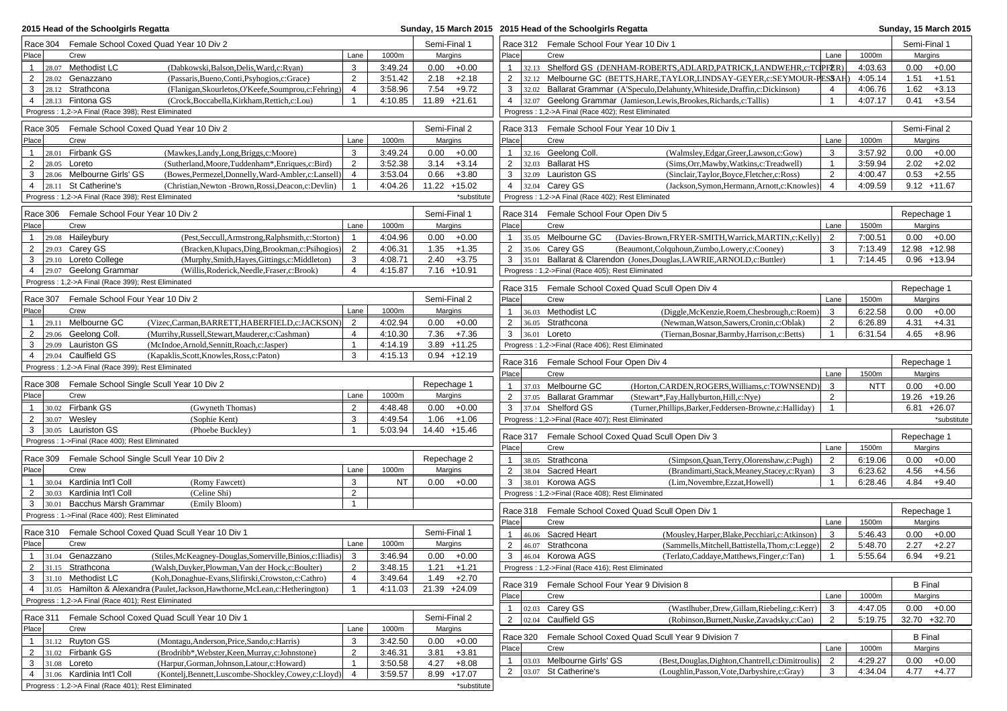| 2015 Head of the Schoolgirls Regatta                                                          |  |                     |           | Sunday, 15 March 2015 2015 Head of the Schoolgirls Regatta |                |                                           |          |                                                                      |                                                                                                                           | <b>Sunday, 15 March 2015</b> |                                |
|-----------------------------------------------------------------------------------------------|--|---------------------|-----------|------------------------------------------------------------|----------------|-------------------------------------------|----------|----------------------------------------------------------------------|---------------------------------------------------------------------------------------------------------------------------|------------------------------|--------------------------------|
| Race 304 Female School Coxed Quad Year 10 Div 2                                               |  | Semi-Final 1        |           |                                                            |                | Race 312 Female School Four Year 10 Div 1 |          |                                                                      | Semi-Final 1                                                                                                              |                              |                                |
| Place<br>Crew                                                                                 |  | Lane                | 1000m     | Margins                                                    |                | Place                                     |          | Crew                                                                 | Lane                                                                                                                      | 1000m                        | Margins                        |
| 28.07 Methodist LC<br>(Dabkowski, Balson, Delis, Ward, c: Ryan)<br>$\mathbf{1}$               |  | 3                   | 3:49.24   | 0.00                                                       | $+0.00$        | $\mathbf{1}$                              |          |                                                                      | 32.13 Shelford GS (DENHAM-ROBERTS, ADLARD, PATRICK, LANDWEHR, c: TO PFER)                                                 | 4:03.63                      | $0.00 + 0.00$                  |
| $\overline{2}$<br>28.02 Genazzano<br>(Passaris, Bueno, Conti, Psyhogios, c: Grace)            |  | 2                   | 3:51.42   | 2.18                                                       | $+2.18$        | $\overline{2}$                            |          |                                                                      | 32.12 Melbourne GC (BETTS, HARE, TAYLOR, LINDSAY-GEYER, c: SEYMOUR-PESSAH                                                 | 4:05.14                      | 1.51<br>$+1.51$                |
| 28.12 Strathcona<br>3<br>(Flanigan, Skourletos, O'Keefe, Soumprou, c: Fehring)                |  | $\overline{4}$      | 3:58.96   | 7.54                                                       | $+9.72$        | 3                                         |          |                                                                      | 32.02 Ballarat Grammar (A'Speculo, Delahunty, Whiteside, Draffin, c: Dickinson)<br>4                                      | 4:06.76                      | 1.62<br>$+3.13$                |
| 4 28.13 Fintona GS<br>(Crock, Boccabella, Kirkham, Rettich, c: Lou)                           |  | $\overline{1}$      | 4:10.85   | 11.89 +21.61                                               |                | 4                                         | 32.07    |                                                                      | Geelong Grammar (Jamieson, Lewis, Brookes, Richards, c: Tallis)<br>$\mathbf{1}$                                           | 4:07.17                      | 0.41<br>$+3.54$                |
| Progress: 1,2->A Final (Race 398); Rest Eliminated                                            |  |                     |           |                                                            |                |                                           |          | Progress: 1,2->A Final (Race 402); Rest Eliminated                   |                                                                                                                           |                              |                                |
| Race 305 Female School Coxed Quad Year 10 Div 2                                               |  |                     |           | Semi-Final 2                                               |                |                                           | Race 313 | Female School Four Year 10 Div 1                                     |                                                                                                                           |                              | Semi-Final 2                   |
| Place<br>Crew                                                                                 |  | Lane                | 1000m     | Margins                                                    |                | Place                                     |          | Crew                                                                 | Lane                                                                                                                      | 1000m                        | Margins                        |
| 28.01 Firbank GS<br>(Mawkes,Landy,Long,Briggs,c:Moore)<br>$\mathbf{1}$                        |  | 3                   | 3:49.24   | 0.00                                                       | $+0.00$        | $\mathbf{1}$                              |          | 32.16 Geelong Coll.                                                  | (Walmsley, Edgar, Greer, Lawson, c: Gow)<br>3                                                                             | 3:57.92                      | 0.00<br>$+0.00$                |
| $\overline{2}$<br>$28.05$ Loreto<br>(Sutherland, Moore, Tuddenham*, Enriques, c: Bird)        |  | 2                   | 3:52.38   | 3.14                                                       | $+3.14$        | $\overline{2}$                            |          | 32.03 Ballarat HS                                                    | (Sims, Orr, Mawby, Watkins, c: Treadwell)<br>$\overline{1}$                                                               | 3:59.94                      | 2.02<br>$+2.02$                |
| 28.06 Melbourne Girls' GS<br>(Bowes, Permezel, Donnelly, Ward-Ambler, c: Lansell)<br>3        |  | $\overline{4}$      | 3:53.04   | 0.66                                                       | $+3.80$        | 3                                         |          | 32.09 Lauriston GS                                                   | 2<br>(Sinclair,Taylor,Boyce,Fletcher,c:Ross)                                                                              | 4:00.47                      | $+2.55$<br>0.53                |
| $4 \mid 28.11$ St Catherine's<br>(Christian, Newton - Brown, Rossi, Deacon, c: Devlin)        |  | $\overline{1}$      | 4:04.26   | 11.22 +15.02                                               |                |                                           |          | 4 32.04 Carey GS                                                     | 4<br>(Jackson, Symon, Hermann, Arnott, c: Knowles)                                                                        | 4:09.59                      | $9.12 + 11.67$                 |
| Progress: 1,2->A Final (Race 398); Rest Eliminated                                            |  |                     |           |                                                            | *substitute    |                                           |          | Progress: 1,2->A Final (Race 402); Rest Eliminated                   |                                                                                                                           |                              |                                |
| Race 306 Female School Four Year 10 Div 2                                                     |  |                     |           | Semi-Final 1                                               |                |                                           |          | Race 314 Female School Four Open Div 5                               |                                                                                                                           |                              | Repechage 1                    |
| Place<br>Crew                                                                                 |  | Lane                | 1000m     | Margins                                                    |                | Place                                     |          | Crew                                                                 | Lane                                                                                                                      | 1500m                        | Margins                        |
| $ 29.08$ Haileybury<br>(Pest, Seccull, Armstrong, Ralphsmith, c: Storton)<br>$\mathbf{1}$     |  | $\overline{1}$      | 4:04.96   | 0.00                                                       | $+0.00$        | $\mathbf{1}$                              |          | 35.05 Melbourne GC                                                   | 2<br>(Davies-Brown, FRYER-SMITH, Warrick, MARTIN, c: Kelly)                                                               | 7:00.51                      | $0.00 + 0.00$                  |
| $\overline{2}$<br>$29.03$ Carey GS<br>(Bracken, Klupacs, Ding, Brookman, c: Psihogios)        |  | $\overline{2}$      | 4:06.31   | 1.35                                                       | $+1.35$        | 2                                         | 35.06    | Carey GS                                                             | 3<br>(Beaumont,Colquhoun,Zumbo,Lowery,c:Cooney)                                                                           | 7:13.49                      | 12.98 +12.98                   |
| 3 29.10 Loreto College<br>(Murphy, Smith, Hayes, Gittings, c: Middleton)                      |  | 3                   | 4:08.71   | 2.40                                                       | $+3.75$        | 3                                         | 35.01    |                                                                      | Ballarat & Clarendon (Jones, Douglas, LAWRIE, ARNOLD, c: Buttler)<br>$\overline{1}$                                       | 7:14.45                      | $0.96 + 13.94$                 |
| 4 29.07 Geelong Grammar<br>(Willis, Roderick, Needle, Fraser, c: Brook)                       |  | $\overline{4}$      | 4:15.87   |                                                            | $7.16 + 10.91$ |                                           |          | Progress: 1,2->Final (Race 405); Rest Eliminated                     |                                                                                                                           |                              |                                |
| Progress: 1,2->A Final (Race 399); Rest Eliminated                                            |  |                     |           |                                                            |                |                                           |          |                                                                      | Race 315 Female School Coxed Quad Scull Open Div 4                                                                        |                              | Repechage 1                    |
| Race 307<br>Female School Four Year 10 Div 2                                                  |  |                     |           | Semi-Final 2                                               |                | Place                                     |          | Crew                                                                 | Lane                                                                                                                      | 1500m                        | Margins                        |
| Place <br>Crew                                                                                |  | Lane                | 1000m     | Margins                                                    |                | $\mathbf{1}$                              |          | 36.03 Methodist LC                                                   | (Diggle, McKenzie, Roem, Chesbrough, c: Roem)<br>3                                                                        | 6:22.58                      | $+0.00$<br>0.00                |
| 29.11 Melbourne GC<br>(Vizec,Carman,BARRETT,HABERFIELD,c:JACKSON)<br>$\mathbf{1}$             |  | 2                   | 4:02.94   | 0.00                                                       | $+0.00$        | $\overline{2}$                            | 36.05    | Strathcona                                                           | $\overline{2}$<br>(Newman, Watson, Sawers, Cronin, c: Oblak)                                                              | 6:26.89                      | 4.31<br>$+4.31$                |
| 29.06 Geelong Coll.<br>2<br>(Murrihy, Russell, Stewart, Mauderer, c: Cashman)                 |  | 4                   | 4:10.30   |                                                            | $7.36 + 7.36$  | 3                                         | 36.01    | Loreto                                                               | $\overline{1}$<br>(Tiernan, Bosnar, Barmby, Harrison, c: Betts)                                                           | 6:31.54                      | 4.65<br>$+8.96$                |
| 29.09 Lauriston GS<br>(McIndoe, Arnold, Sennitt, Roach, c: Jasper)<br>3                       |  | $\overline{1}$      | 4:14.19   |                                                            | 3.89 +11.25    |                                           |          | Progress: 1,2->Final (Race 406); Rest Eliminated                     |                                                                                                                           |                              |                                |
| 29.04 Caulfield GS<br>(Kapaklis, Scott, Knowles, Ross, c: Paton)<br>4                         |  | 3                   | 4:15.13   |                                                            | $0.94 + 12.19$ |                                           |          |                                                                      |                                                                                                                           |                              |                                |
| Progress: 1,2->A Final (Race 399); Rest Eliminated                                            |  |                     |           |                                                            |                |                                           | Race 316 | Female School Four Open Div 4                                        |                                                                                                                           |                              | Repechage 1                    |
|                                                                                               |  |                     |           |                                                            |                | Place                                     |          | Crew                                                                 | Lane                                                                                                                      | 1500m                        | Margins                        |
| Race 308 Female School Single Scull Year 10 Div 2<br>Place <sup> </sup><br>Crew               |  | Lane                | 1000m     | Repechage 1<br>Margins                                     |                | $\mathbf{1}$                              |          | 37.03 Melbourne GC                                                   | (Horton,CARDEN,ROGERS,Williams,c:TOWNSEND)<br>3                                                                           | <b>NTT</b>                   | 0.00<br>$+0.00$                |
| 30.02 Firbank GS<br>$\mathbf{1}$<br>(Gwyneth Thomas)                                          |  | $\overline{2}$      | 4:48.48   | 0.00                                                       | $+0.00$        | $\overline{2}$<br>3                       | 37.04    | 37.05 Ballarat Grammar<br>Shelford GS                                | (Stewart*,Fay,Hallyburton,Hill,c:Nye)<br>2<br>(Turner, Phillips, Barker, Feddersen-Browne, c: Halliday)<br>$\overline{1}$ |                              | 19.26 +19.26<br>$6.81 + 26.07$ |
| 30.07 Wesley<br>$\overline{2}$<br>(Sophie Kent)                                               |  | 3                   | 4:49.54   |                                                            | $1.06 + 1.06$  |                                           |          | Progress: 1,2->Final (Race 407); Rest Eliminated                     |                                                                                                                           |                              | *substitute                    |
| 3 30.05 Lauriston GS<br>(Phoebe Buckley)                                                      |  | $\overline{1}$      | 5:03.94   | 14.40 +15.46                                               |                |                                           |          |                                                                      |                                                                                                                           |                              |                                |
| Progress: 1->Final (Race 400); Rest Eliminated                                                |  |                     |           |                                                            |                |                                           | Race 317 |                                                                      | Female School Coxed Quad Scull Open Div 3                                                                                 |                              | Repechage 1                    |
|                                                                                               |  |                     |           |                                                            |                | Place                                     |          | Crew                                                                 | Lane                                                                                                                      | 1500m                        | Margins                        |
| Female School Single Scull Year 10 Div 2<br>Race 309                                          |  |                     |           | Repechage 2                                                |                | $\mathbf{1}$                              |          | 38.05 Strathcona                                                     | 2<br>(Simpson, Quan, Terry, Olorenshaw, c: Pugh)                                                                          | 6:19.06                      | $0.00 + 0.00$                  |
| Place<br>Crew                                                                                 |  | Lane                | 1000m     | Margins                                                    |                | $\overline{2}$                            |          | 38.04 Sacred Heart                                                   | (Brandimarti, Stack, Meaney, Stacey, c: Ryan)<br>3                                                                        | 6:23.62                      | 4.56<br>$+4.56$                |
| 30.04 Kardinia Int'l Coll<br>(Romy Fawcett)<br>2<br>30.03 Kardinia Int'l Coll<br>(Celine Shi) |  | 3<br>$\overline{2}$ | <b>NT</b> |                                                            | $0.00 + 0.00$  | 3                                         |          | 38.01 Korowa AGS<br>Progress: 1,2->Final (Race 408); Rest Eliminated | (Lim, Novembre, Ezzat, Howell)<br>$\mathbf{1}$                                                                            | 6:28.46                      | 4.84<br>$+9.40$                |
| 30.01 Bacchus Marsh Grammar<br>3<br>(Emily Bloom)                                             |  | $\mathbf{1}$        |           |                                                            |                |                                           |          |                                                                      |                                                                                                                           |                              |                                |
| Progress: 1->Final (Race 400); Rest Eliminated                                                |  |                     |           |                                                            |                |                                           | Race 318 |                                                                      | Female School Coxed Quad Scull Open Div 1                                                                                 |                              | Repechage 1                    |
|                                                                                               |  |                     |           |                                                            |                | Place                                     |          | Crew                                                                 | Lane                                                                                                                      | 1500m                        | Margins                        |
| Race 310 Female School Coxed Quad Scull Year 10 Div 1                                         |  |                     |           | Semi-Final 1                                               |                | $\mathbf{1}$                              | 46.06    | Sacred Heart                                                         | (Mousley, Harper, Blake, Pecchiari, c: Atkinson)<br>3                                                                     | 5:46.43                      | $+0.00$<br>0.00                |
| Place<br>Crew                                                                                 |  | Lane                | 1000m     | Margins                                                    |                | 2                                         | 46.07    | Strathcona                                                           | 2<br>(Sammells, Mitchell, Battistella, Thom, c: Legge)                                                                    | 5:48.70                      | $+2.27$<br>2.27                |
| 1 31.04 Genazzano<br>(Stiles, McKeagney-Douglas, Somerville, Binios, c: Iliadis)              |  | 3                   | 3:46.94   |                                                            | $0.00 + 0.00$  | 3                                         | 46.04    | Korowa AGS                                                           | (Terlato,Caddaye,Matthews,Finger,c:Tan)<br>$\mathbf{1}$                                                                   | 5:55.64                      | 6.94<br>$+9.21$                |
| 2 $ 31.15$ Strathcona<br>(Walsh, Duyker, Plowman, Van der Hock, c: Boulter)                   |  | $\overline{2}$      | 3:48.15   | $1.21 + 1.21$                                              |                |                                           |          | Progress: 1,2->Final (Race 416); Rest Eliminated                     |                                                                                                                           |                              |                                |
| $3 \mid 31.10$ Methodist LC<br>(Koh, Donaghue-Evans, Slifirski, Crowston, c: Cathro)          |  | $\overline{4}$      | 3:49.64   |                                                            | $1.49 +2.70$   |                                           | Race 319 |                                                                      | Female School Four Year 9 Division 8                                                                                      |                              | <b>B</b> Final                 |
| 4 31.05 Hamilton & Alexandra (Paulet, Jackson, Hawthorne, McLean, c: Hetherington)            |  | $\overline{1}$      | 4:11.03   | 21.39 +24.09                                               |                | Place                                     |          | Crew                                                                 | Lane                                                                                                                      | 1000m                        | Margins                        |
| Progress: 1,2->A Final (Race 401); Rest Eliminated                                            |  |                     |           |                                                            |                | $\mathbf{1}$                              |          | 02.03 Carey GS                                                       | 3<br>(Wastlhuber, Drew, Gillam, Riebeling, c: Kerr)                                                                       | 4:47.05                      | $0.00 + 0.00$                  |
| Race 311<br>Female School Coxed Quad Scull Year 10 Div 1                                      |  |                     |           | Semi-Final 2                                               |                | $\overline{2}$                            |          | 02.04 Caulfield GS                                                   | $\overline{2}$<br>(Robinson, Burnett, Nuske, Zavadsky, c: Cao)                                                            | 5:19.75                      | 32.70 +32.70                   |
| Place<br>Crew                                                                                 |  | Lane                | 1000m     | Margins                                                    |                |                                           |          |                                                                      |                                                                                                                           |                              |                                |
| 31.12 Ruyton GS<br>(Montagu, Anderson, Price, Sando, c: Harris)<br>$\mathbf{1}$               |  | 3                   | 3:42.50   |                                                            | $0.00 + 0.00$  |                                           | Race 320 |                                                                      | Female School Coxed Quad Scull Year 9 Division 7                                                                          |                              | <b>B</b> Final                 |
| 2 $ 31.02$ Firbank GS<br>(Brodribb*, Webster, Keen, Murray, c: Johnstone)                     |  | 2                   | 3:46.31   |                                                            | $3.81 + 3.81$  | Place                                     |          | Crew                                                                 | Lane                                                                                                                      | 1000m                        | Margins                        |
| $3 \mid 31.08$ Loreto<br>(Harpur, Gorman, Johnson, Latour, c: Howard)                         |  | $\overline{1}$      | 3:50.58   |                                                            | $4.27 + 8.08$  | $\mathbf{1}$<br>$\overline{2}$            |          | 03.03 Melbourne Girls' GS                                            | 2<br>(Best, Douglas, Dighton, Chantrell, c: Dimitroulis)                                                                  | 4:29.27                      | $0.00 + 0.00$                  |
| 4 31.06 Kardinia Int'l Coll<br>(Kontelj, Bennett, Luscombe-Shockley, Cowey, c: Lloyd)         |  | $\overline{4}$      | 3:59.57   |                                                            | 8.99 +17.07    |                                           |          | 03.07 St Catherine's                                                 | (Loughlin, Passon, Vote, Darbyshire, c: Gray)<br>3                                                                        | 4:34.04                      | $4.77 + 4.77$                  |
| Progress: 1,2->A Final (Race 401); Rest Eliminated                                            |  |                     |           |                                                            | *substitute    |                                           |          |                                                                      |                                                                                                                           |                              |                                |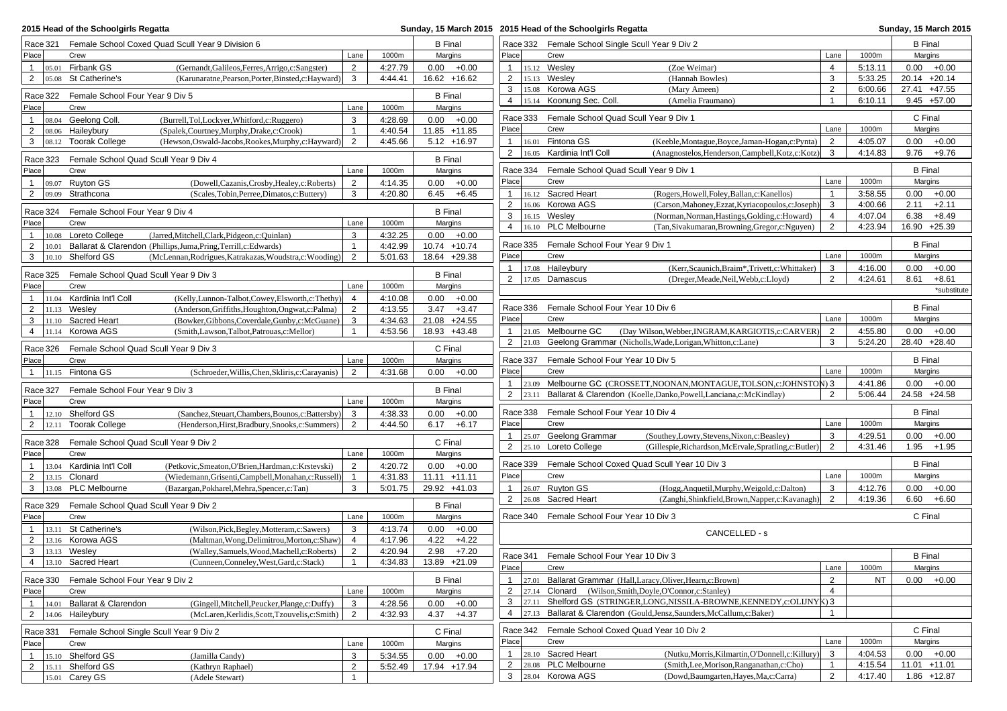| 2015 Head of the Schoolgirls Regatta    |                                            |                                                                                                        |                     |                           |      |                                |                   |       | Sunday, 15 March 2015 2015 Head of the Schoolgirls Regatta |                                                                           |                |           |                           | Sunday, 15 March 2015 |
|-----------------------------------------|--------------------------------------------|--------------------------------------------------------------------------------------------------------|---------------------|---------------------------|------|--------------------------------|-------------------|-------|------------------------------------------------------------|---------------------------------------------------------------------------|----------------|-----------|---------------------------|-----------------------|
|                                         |                                            | Race 321 Female School Coxed Quad Scull Year 9 Division 6                                              |                     |                           |      | <b>B</b> Final                 |                   |       |                                                            | Race 332 Female School Single Scull Year 9 Div 2                          |                |           | <b>B</b> Final            |                       |
| Place                                   | Crew                                       |                                                                                                        | Lane                | 1000m                     |      | Margins                        | Place             |       | Crew                                                       |                                                                           | Lane           | 1000m     | Margins                   |                       |
| $\overline{1}$<br>05.01                 | Firbank GS                                 | (Gernandt, Galileos, Ferres, Arrigo, c: Sangster)                                                      | 2                   | 4:27.79                   |      | $0.00 + 0.00$                  | $\mathbf{1}$      |       | 15.12 Wesley                                               | (Zoe Weimar)                                                              | $\overline{4}$ | 5:13.11   | $0.00 + 0.00$             |                       |
| $\overline{2}$<br>05.08                 | St Catherine's                             | (Karunaratne, Pearson, Porter, Binsted, c: Hayward)                                                    | 3                   | 4:44.41                   |      | 16.62 +16.62                   | $\overline{2}$    |       | 15.13 Wesley                                               | (Hannah Bowles)                                                           | 3              | 5:33.25   | $20.14 +20.14$            |                       |
| Race 322                                | Female School Four Year 9 Div 5            |                                                                                                        |                     |                           |      | <b>B</b> Final                 | 3                 |       | 15.08 Korowa AGS                                           | (Mary Ameen)                                                              | $\overline{2}$ | 6:00.66   | 27.41 +47.55              |                       |
| Place                                   | Crew                                       |                                                                                                        | Lane                | 1000m                     |      | Margins                        | 4                 |       | 15.14 Koonung Sec. Coll.                                   | (Amelia Fraumano)                                                         | $\overline{1}$ | 6:10.11   | $9.45 + 57.00$            |                       |
| $\overline{1}$                          | 08.04 Geelong Coll.                        | (Burrell,Tol,Lockyer,Whitford,c:Ruggero)                                                               | 3                   | 4:28.69                   |      | $0.00 + 0.00$                  |                   |       |                                                            | Race 333 Female School Quad Scull Year 9 Div 1                            |                |           | C Final                   |                       |
| $\overline{2}$                          | 08.06 Haileybury                           | (Spalek, Courtney, Murphy, Drake, c: Crook)                                                            | $\mathbf{1}$        | 4:40.54                   |      | 11.85 +11.85                   | Place             |       | Crew                                                       |                                                                           | Lane           | 1000m     | Margins                   |                       |
| 3                                       | 08.12 Toorak College                       | (Hewson, Oswald-Jacobs, Rookes, Murphy, c: Hayward)                                                    | 2                   | 4:45.66                   |      | $5.12 + 16.97$                 | $\mathbf{1}$      |       | 16.01 Fintona GS                                           | (Keeble, Montague, Boyce, Jaman-Hogan, c: Pynta)                          | $\overline{2}$ | 4:05.07   | 0.00                      | $+0.00$               |
|                                         |                                            |                                                                                                        |                     |                           |      |                                | $\overline{2}$    |       | 16.05 Kardinia Int'l Coll                                  | (Anagnostelos, Henderson, Campbell, Kotz, c: Kotz)                        | 3              | 4:14.83   | 9.76                      | $+9.76$               |
| Race 323                                | Female School Quad Scull Year 9 Div 4      |                                                                                                        |                     |                           |      | <b>B</b> Final                 |                   |       |                                                            |                                                                           |                |           |                           |                       |
| Place                                   | Crew                                       |                                                                                                        | Lane                | 1000m                     |      | Margins                        | Race 334<br>Place |       | Crew                                                       | Female School Quad Scull Year 9 Div 1                                     | Lane           | 1000m     | <b>B</b> Final<br>Margins |                       |
| $\mathbf{1}$<br>$\overline{2}$<br>09.09 | $ 09.07$ Ruyton GS<br>Strathcona           | (Dowell, Cazanis, Crosby, Healey, c: Roberts)<br>(Scales, Tobin, Perree, Dimatos, c: Buttery)          | $\overline{2}$<br>3 | 4:14.35<br>4:20.80        |      | $0.00 + 0.00$<br>$6.45 + 6.45$ | $\mathbf{1}$      |       | 16.12 Sacred Heart                                         | (Rogers, Howell, Foley, Ballan, c: Kanellos)                              |                | 3:58.55   | 0.00                      | $+0.00$               |
|                                         |                                            |                                                                                                        |                     |                           |      |                                | $\overline{2}$    |       | 16.06 Korowa AGS                                           | (Carson, Mahoney, Ezzat, Kyriacopoulos, c: Joseph)                        | 3              | 4:00.66   | 2.11                      | $+2.11$               |
| Race 324                                | Female School Four Year 9 Div 4            |                                                                                                        |                     |                           |      | <b>B</b> Final                 | 3                 |       | 16.15 Wesley                                               | (Norman, Norman, Hastings, Golding, c: Howard)                            | $\overline{4}$ | 4:07.04   | 6.38                      | $+8.49$               |
| Place                                   | Crew                                       |                                                                                                        | Lane                | 1000m                     |      | Margins                        | 4                 |       | 16.10 PLC Melbourne                                        | (Tan, Sivakumaran, Browning, Gregor, c: Nguyen)                           | 2              | 4:23.94   | 16.90 +25.39              |                       |
| $\overline{1}$                          | 10.08 Loreto College                       | (Jarred, Mitchell, Clark, Pidgeon, c: Quinlan)                                                         | 3                   | 4:32.25                   |      | $0.00 + 0.00$                  |                   |       |                                                            |                                                                           |                |           |                           |                       |
| 2<br>10.01                              |                                            | Ballarat & Clarendon (Phillips, Juma, Pring, Terrill, c: Edwards)                                      | $\mathbf{1}$        | 4:42.99                   |      | 10.74 +10.74                   |                   |       | Race 335 Female School Four Year 9 Div 1                   |                                                                           |                |           | <b>B</b> Final            |                       |
| 3                                       | 10.10 Shelford GS                          | (McLennan, Rodrigues, Katrakazas, Woudstra, c: Wooding)                                                | 2                   | 5:01.63                   |      | 18.64 +29.38                   | Place             |       | Crew                                                       |                                                                           | Lane           | 1000m     | Margins                   |                       |
| Race 325                                | Female School Quad Scull Year 9 Div 3      |                                                                                                        |                     |                           |      | <b>B</b> Final                 | $\mathbf{1}$      |       | 17.08 Haileybury                                           | (Kerr, Scaunich, Braim*, Trivett, c: Whittaker)                           | 3              | 4:16.00   | 0.00                      | $+0.00$               |
| Place                                   | Crew                                       |                                                                                                        | Lane                | 1000m                     |      | Margins                        | $\overline{2}$    |       | 17.05 Damascus                                             | (Dreger, Meade, Neil, Webb, c: Lloyd)                                     | $\overline{2}$ | 4:24.61   | 8.61                      | $+8.61$               |
| $\mathbf{1}$                            | 11.04 Kardinia Int'l Coll                  | (Kelly, Lunnon-Talbot, Cowey, Elsworth, c: Thethy)                                                     | $\overline{4}$      | 4:10.08                   |      | $0.00 + 0.00$                  |                   |       |                                                            |                                                                           |                |           |                           | *substitute           |
| $\overline{2}$                          | $11.13$ Wesley                             | (Anderson, Griffiths, Houghton, Ongwat, c: Palma)                                                      | $\overline{2}$      | 4:13.55                   |      | $3.47 + 3.47$                  | Race 336          |       | Female School Four Year 10 Div 6                           |                                                                           |                |           | <b>B</b> Final            |                       |
| 3                                       | 11.10 Sacred Heart                         | (Bowker, Gibbons, Coverdale, Gunby, c: McGuane)                                                        | 3                   | 4:34.63                   |      | 21.08 +24.55                   | Place             |       | Crew                                                       |                                                                           | Lane           | 1000m     | Margins                   |                       |
| $\overline{4}$                          | 11.14 Korowa AGS                           | (Smith,Lawson,Talbot,Patrouas.c:Mellor)                                                                | $\mathbf{1}$        | 4:53.56                   |      | 18.93 +43.48                   | $\mathbf{1}$      |       | 21.05 Melbourne GC                                         | (Day Wilson, Webber, INGRAM, KARGIOTIS, c: CARVER)                        | $\overline{2}$ | 4:55.80   | $0.00 + 0.00$             |                       |
| Race 326                                | Female School Quad Scull Year 9 Div 3      |                                                                                                        |                     |                           |      | C Final                        | $\overline{2}$    |       |                                                            | 21.03 Geelong Grammar (Nicholls, Wade, Lorigan, Whitton, c: Lane)         | 3              | 5:24.20   | 28.40 +28.40              |                       |
| Place                                   | Crew                                       |                                                                                                        | Lane                | 1000m                     |      | Margins                        | Race 337          |       | Female School Four Year 10 Div 5                           |                                                                           |                |           | <b>B</b> Final            |                       |
| $\mathbf{1}$                            | 11.15 Fintona GS                           | (Schroeder, Willis, Chen, Skliris, c: Carayanis)                                                       | 2                   | 4:31.68                   |      | $0.00 + 0.00$                  | Place             |       | Crew                                                       |                                                                           | Lane           | 1000m     | Margins                   |                       |
|                                         |                                            |                                                                                                        |                     |                           |      |                                | $\mathbf{1}$      |       |                                                            | 23.09 Melbourne GC (CROSSETT, NOONAN, MONTAGUE, TOLSON, c: JOHNSTON) 3    |                | 4:41.86   | 0.00                      | $+0.00$               |
| Race 327<br>Place                       | Female School Four Year 9 Div 3<br>Crew    |                                                                                                        | Lane                | 1000m                     |      | <b>B</b> Final<br>Margins      | $\overline{2}$    | 23.11 |                                                            | Ballarat & Clarendon (Koelle, Danko, Powell, Lanciana, c: McKindlay)      | $\overline{2}$ | 5:06.44   | 24.58 +24.58              |                       |
|                                         |                                            |                                                                                                        |                     |                           |      |                                | Race 338          |       | Female School Four Year 10 Div 4                           |                                                                           |                |           | <b>B</b> Final            |                       |
| $\mathbf{1}$<br>$\overline{2}$<br>12.11 | 12.10 Shelford GS<br><b>Toorak College</b> | (Sanchez, Steuart, Chambers, Bounos, c: Battersby)<br>(Henderson, Hirst, Bradbury, Snooks, c: Summers) | 3<br>2              | 4:38.33<br>4:44.50        | 0.00 | $+0.00$<br>$6.17 + 6.17$       | Place             |       | Crew                                                       |                                                                           | Lane           | 1000m     | Margins                   |                       |
|                                         |                                            |                                                                                                        |                     |                           |      |                                | $\mathbf{1}$      |       | 25.07 Geelong Grammar                                      | (Southey, Lowry, Stevens, Nixon, c: Beasley)                              | 3              | 4:29.51   | 0.00                      | $+0.00$               |
| Race 328                                | Female School Quad Scull Year 9 Div 2      |                                                                                                        |                     |                           |      | C Final                        | $\overline{2}$    |       | 25.10 Loreto College                                       | (Gillespie, Richardson, McErvale, Spratling, c: Butler)                   | $\overline{2}$ | 4:31.46   | $1.95 + 1.95$             |                       |
| Place                                   | Crew                                       |                                                                                                        | Lane                | 1000m                     |      | Margins                        |                   |       |                                                            |                                                                           |                |           |                           |                       |
|                                         | 13.04 Kardinia Int'l Coll                  | (Petkovic, Smeaton, O'Brien, Hardman, c: Krstevski)                                                    | $\overline{2}$      | 4:20.72                   |      | $0.00 + 0.00$                  | Race 339          |       |                                                            | Female School Coxed Quad Scull Year 10 Div 3                              |                |           | <b>B</b> Final            |                       |
| 2                                       | 13.15 Clonard                              | (Wiedemann, Grisenti, Campbell, Monahan, c: Russell)                                                   | $\mathbf{1}$        | 4:31.83                   |      | $11.11 + 11.11$                | Place             |       | Crew                                                       |                                                                           | Lane           | 1000m     | Margins                   |                       |
| 3                                       | 13.08 PLC Melbourne                        | (Bazargan, Pokharel, Mehra, Spencer, c: Tan)                                                           | 3                   | 5:01.75                   |      | 29.92 +41.03                   | $\mathbf{1}$      |       | 26.07 Ruyton GS                                            | (Hogg, Anquetil, Murphy, Weigold, c: Dalton)                              | 3              | 4:12.76   | 0.00                      | $+0.00$               |
| Race 329                                | Female School Quad Scull Year 9 Div 2      |                                                                                                        |                     |                           |      | <b>B</b> Final                 | $\overline{2}$    |       | 26.08 Sacred Heart                                         | (Zanghi, Shinkfield, Brown, Napper, c: Kavanagh)                          | 2              | 4:19.36   | 6.60                      | $+6.60$               |
| Place                                   | Crew                                       |                                                                                                        | Lane                | 1000m                     |      | Margins                        |                   |       | Race 340 Female School Four Year 10 Div 3                  |                                                                           |                |           | C Final                   |                       |
| $\overline{1}$                          | 13.11 St Catherine's                       | (Wilson, Pick, Begley, Motteram, c: Sawers)                                                            | 3                   | 4:13.74                   |      | $0.00 + 0.00$                  |                   |       |                                                            | CANCELLED - s                                                             |                |           |                           |                       |
| 2                                       | 13.16 Korowa AGS                           | (Maltman, Wong, Delimitrou, Morton, c: Shaw)                                                           | $\overline{4}$      | 4:17.96                   |      | $4.22 + 4.22$                  |                   |       |                                                            |                                                                           |                |           |                           |                       |
| 3                                       | 13.13 Wesley                               | (Walley,Samuels,Wood,Machell,c:Roberts)                                                                | $\overline{2}$      | 4:20.94                   | 2.98 | $+7.20$                        | Race 341          |       | Female School Four Year 10 Div 3                           |                                                                           |                |           | <b>B</b> Final            |                       |
|                                         | $4$   13.10 Sacred Heart                   | (Cunneen, Conneley, West, Gard, c: Stack)                                                              | $\mathbf{1}$        | $4:34.83$   13.89 + 21.09 |      |                                | Place             |       | Crew                                                       |                                                                           | Lane           | 1000m     | Margins                   |                       |
| Race 330                                | Female School Four Year 9 Div 2            |                                                                                                        |                     |                           |      | <b>B</b> Final                 | $\mathbf{1}$      | 27.01 |                                                            | Ballarat Grammar (Hall, Laracy, Oliver, Hearn, c: Brown)                  | 2              | <b>NT</b> | $0.00 + 0.00$             |                       |
| Place                                   | Crew                                       |                                                                                                        | Lane                | 1000m                     |      | Margins                        | 2                 |       |                                                            | 27.14 Clonard (Wilson, Smith, Doyle, O'Connor, c: Stanley)                | $\overline{4}$ |           |                           |                       |
| 14.01<br>$\mathbf{1}$                   | Ballarat & Clarendon                       | (Gingell, Mitchell, Peucker, Plange, c: Duffy)                                                         | 3                   | 4:28.56                   |      | $0.00 + 0.00$                  | 3                 |       |                                                            | 27.11 Shelford GS (STRINGER, LONG, NISSILA-BROWNE, KENNEDY, c: OLIJNYK) 3 |                |           |                           |                       |
|                                         | 2   $14.06$ Haileybury                     | (McLaren, Kerlidis, Scott, Tzouvelis, c: Smith)                                                        | 2                   | 4:32.93                   |      | $4.37 + 4.37$                  | $\overline{4}$    |       |                                                            | 27.13 Ballarat & Clarendon (Gould, Jensz, Saunders, McCallum, c: Baker)   | $\mathbf{1}$   |           |                           |                       |
|                                         |                                            |                                                                                                        |                     |                           |      |                                |                   |       |                                                            | Race 342 Female School Coxed Quad Year 10 Div 2                           |                |           | C Final                   |                       |
| Race 331                                | Female School Single Scull Year 9 Div 2    |                                                                                                        |                     |                           |      | C Final                        | Place             |       | Crew                                                       |                                                                           | Lane           | 1000m     | Margins                   |                       |
| Place                                   | Crew                                       |                                                                                                        | Lane                | 1000m                     |      | Margins                        | $\mathbf{1}$      |       | 28.10 Sacred Heart                                         | (Nutku, Morris, Kilmartin, O'Donnell, c: Killury)                         | 3              | 4:04.53   | $0.00 + 0.00$             |                       |
| $\overline{1}$<br>$\overline{2}$        | 15.10 Shelford GS<br>$15.11$ Shelford GS   | (Jamilla Candy)<br>(Kathryn Raphael)                                                                   | 3<br>$\overline{2}$ | 5:34.55<br>5:52.49        |      | $0.00 + 0.00$<br>17.94 +17.94  | $\overline{2}$    |       | 28.08 PLC Melbourne                                        | (Smith, Lee, Morison, Ranganathan, c: Cho)                                | $\mathbf{1}$   | 4:15.54   | $11.01 + 11.01$           |                       |
|                                         | 15.01 Carey GS                             | (Adele Stewart)                                                                                        | $\mathbf{1}$        |                           |      |                                | 3                 |       | 28.04 Korowa AGS                                           | (Dowd, Baumgarten, Hayes, Ma,c: Carra)                                    | 2              | 4:17.40   | $1.86 + 12.87$            |                       |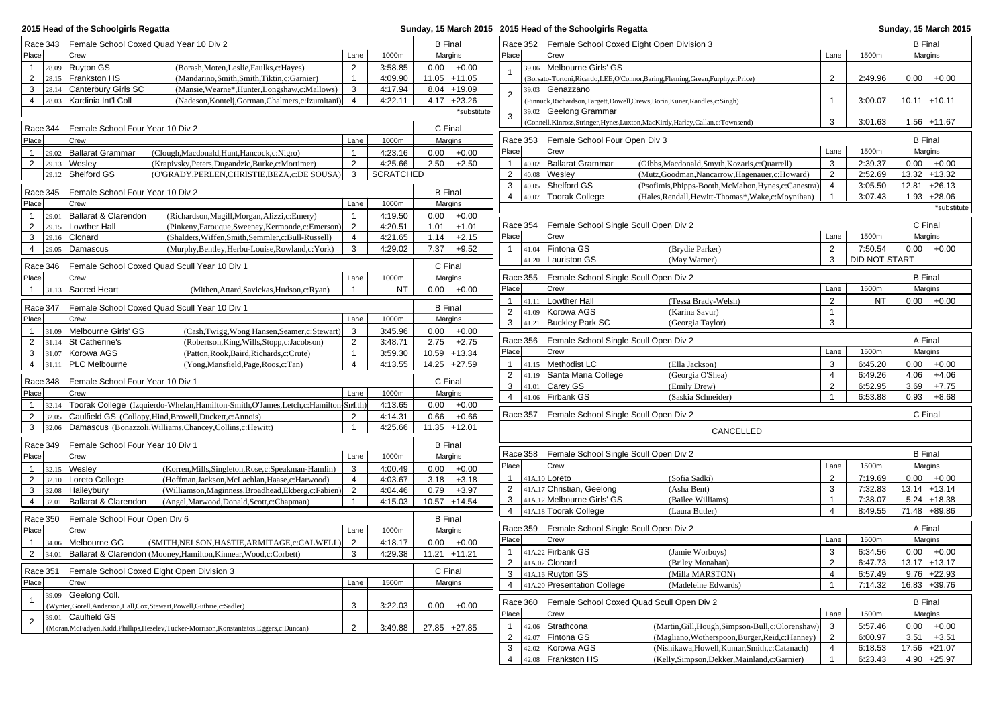| 2015 Head of the Schoolgirls Regatta                                                                                                                                                        |                    |                                    |                | Sunday, 15 March 2015 2015 Head of the Schoolgirls Regatta |                                                                                                        |                                |                    | <b>Sunday, 15 March 2015</b>   |
|---------------------------------------------------------------------------------------------------------------------------------------------------------------------------------------------|--------------------|------------------------------------|----------------|------------------------------------------------------------|--------------------------------------------------------------------------------------------------------|--------------------------------|--------------------|--------------------------------|
| Race 343 Female School Coxed Quad Year 10 Div 2                                                                                                                                             |                    | <b>B</b> Final                     |                | Race 352 Female School Coxed Eight Open Division 3         |                                                                                                        |                                |                    | <b>B</b> Final                 |
| Place<br>Crew<br>Lane                                                                                                                                                                       | 1000m              | Margins                            | Place          | Crew                                                       |                                                                                                        | Lane                           | 1500m              | Margins                        |
| 28.09 Ruyton GS<br>$\overline{2}$<br>$\mathbf{1}$<br>(Borash, Moten, Leslie, Faulks, c: Hayes)                                                                                              | 3:58.85            | $0.00 + 0.00$                      |                | 39.06 Melbourne Girls' GS                                  |                                                                                                        |                                |                    |                                |
| $\overline{2}$<br>28.15 Frankston HS<br>(Mandarino, Smith, Smith, Tiktin, c: Garnier)<br>$\mathbf{1}$                                                                                       | 4:09.90            | 11.05 +11.05                       |                |                                                            | (Borsato-Tortoni, Ricardo, LEE, O'Connor, Baring, Fleming, Green, Furphy, c: Price)                    | $\overline{2}$                 | 2:49.96            | $0.00 + 0.00$                  |
| 3<br>28.14 Canterbury Girls SC<br>3<br>(Mansie, Wearne*, Hunter, Longshaw, c: Mallows)                                                                                                      | 4:17.94            | 8.04 +19.09                        | $\overline{2}$ | 39.03 Genazzano                                            |                                                                                                        |                                |                    |                                |
| $\overline{4}$<br>28.03 Kardinia Int'l Coll<br>(Nadeson, Kontelj, Gorman, Chalmers, c: Izumitani)<br>$\overline{4}$                                                                         | 4:22.11            | $4.17 +23.26$                      |                |                                                            | (Pinnuck, Richardson, Targett, Dowell, Crews, Borin, Kuner, Randles, c: Singh)                         | $\overline{1}$                 | 3:00.07            | $10.11 + 10.11$                |
|                                                                                                                                                                                             |                    | *substitute                        | 3              | 39.02 Geelong Grammar                                      |                                                                                                        |                                |                    |                                |
| Female School Four Year 10 Div 2<br>Race 344                                                                                                                                                |                    | C Final                            |                |                                                            | (Connell, Kinross, Stringer, Hynes, Luxton, MacKirdy, Harley, Callan, c: Townsend)                     | 3                              | 3:01.63            | 1.56 +11.67                    |
| Place<br>Crew<br>Lane                                                                                                                                                                       | 1000m              | Margins                            |                | Race 353 Female School Four Open Div 3                     |                                                                                                        |                                |                    | <b>B</b> Final                 |
| 29.02 Ballarat Grammar<br>(Clough, Macdonald, Hunt, Hancock, c: Nigro)<br>$\overline{1}$<br>$\mathbf{1}$                                                                                    | 4:23.16            | 0.00<br>$+0.00$                    | Place          | Crew                                                       |                                                                                                        | Lane                           | 1500m              | Margins                        |
| $\overline{2}$<br>$\overline{2}$<br>$29.13$ Wesley<br>(Krapivsky, Peters, Dugandzic, Burke, c: Mortimer)                                                                                    | 4:25.66            | $2.50 + 2.50$                      | $\mathbf{1}$   | 40.02 Ballarat Grammar                                     | (Gibbs, Macdonald, Smyth, Kozaris, c: Quarrell)                                                        | 3                              | 2:39.37            | $0.00 + 0.00$                  |
| 29.12 Shelford GS<br>3<br>(O'GRADY, PERLEN, CHRISTIE, BEZA, c: DE SOUSA)                                                                                                                    | <b>SCRATCHED</b>   |                                    | $\overline{2}$ | 40.08 Weslev                                               | (Mutz,Goodman,Nancarrow,Hagenauer,c:Howard)                                                            | $\overline{2}$                 | 2:52.69            | 13.32 +13.32                   |
|                                                                                                                                                                                             |                    |                                    | 3              | 40.05 Shelford GS                                          | (Psofimis, Phipps-Booth, McMahon, Hynes, c: Canestra)                                                  | $\overline{4}$                 | 3:05.50            | $12.81 + 26.13$                |
| Female School Four Year 10 Div 2<br>Race 345<br>Crew<br>Lane                                                                                                                                |                    | <b>B</b> Final                     | $\overline{4}$ | 40.07 Toorak College                                       | (Hales, Rendall, Hewitt-Thomas*, Wake, c: Moynihan)                                                    | $\overline{1}$                 | 3:07.43            | $1.93 +28.06$                  |
| Place                                                                                                                                                                                       | 1000m              | Margins                            |                |                                                            |                                                                                                        |                                |                    | *substitute                    |
| $\mathbf{1}$<br>29.01 Ballarat & Clarendon<br>(Richardson, Magill, Morgan, Alizzi, c: Emery)<br>$\mathbf{1}$                                                                                | 4:19.50            | 0.00<br>$+0.00$                    | Race 354       | Female School Single Scull Open Div 2                      |                                                                                                        |                                |                    | C Final                        |
| $\overline{2}$<br>29.15 Lowther Hall<br>(Pinkeny,Farouque,Sweeney,Kermonde,c:Emerson)<br>2<br>3<br>$29.16$ Clonard<br>(Shalders, Wiffen, Smith, Semmler, c: Bull-Russell)<br>$\overline{4}$ | 4:20.51<br>4:21.65 | $+1.01$<br>1.01<br>1.14<br>$+2.15$ | Place          | Crew                                                       |                                                                                                        | Lane                           | 1500m              | Margins                        |
| $\overline{4}$<br>$29.05$ Damascus<br>3<br>(Murphy, Bentley, Herbu-Louise, Rowland, c: York)                                                                                                | 4:29.02            | 7.37<br>$+9.52$                    | $\mathbf{1}$   | 41.04 Fintona GS                                           | (Brydie Parker)                                                                                        | 2                              | 7:50.54            | $0.00 + 0.00$                  |
|                                                                                                                                                                                             |                    |                                    |                | 41.20 Lauriston GS                                         | (May Warner)                                                                                           | 3                              | DID NOT START      |                                |
| Race 346<br>Female School Coxed Quad Scull Year 10 Div 1                                                                                                                                    |                    | C Final                            |                |                                                            |                                                                                                        |                                |                    |                                |
| Place<br>Crew<br>Lane                                                                                                                                                                       | 1000m              | Margins                            |                | Race 355 Female School Single Scull Open Div 2             |                                                                                                        |                                |                    | <b>B</b> Final                 |
| 1 $31.13$<br>Sacred Heart<br>(Mithen, Attard, Savickas, Hudson, c: Ryan)<br>$\overline{1}$                                                                                                  | <b>NT</b>          | $0.00 + 0.00$                      | Place          | Crew                                                       |                                                                                                        | Lane                           | 1500m              | Margins                        |
| Female School Coxed Quad Scull Year 10 Div 1                                                                                                                                                |                    | <b>B</b> Final                     | 1              | 41.11 Lowther Hall                                         | (Tessa Brady-Welsh)                                                                                    | $\overline{2}$                 | <b>NT</b>          | $0.00 + 0.00$                  |
| Race 347<br>Place<br>Crew<br>Lane                                                                                                                                                           | 1000m              | Margins                            | $\overline{2}$ | 41.09 Korowa AGS                                           | (Karina Savur)                                                                                         | $\mathbf{1}$                   |                    |                                |
| 31.09 Melbourne Girls' GS<br>3                                                                                                                                                              | 3:45.96            | $0.00 + 0.00$                      | 3              | 41.21 Buckley Park SC                                      | (Georgia Taylor)                                                                                       | 3                              |                    |                                |
| $\mathbf{1}$<br>(Cash, Twigg, Wong Hansen, Seamer, c: Stewart)<br>$\overline{2}$<br>31.14 St Catherine's<br>(Robertson, King, Wills, Stopp, c: Jacobson)<br>$\overline{2}$                  | 3:48.71            | 2.75<br>$+2.75$                    | Race 356       | Female School Single Scull Open Div 2                      |                                                                                                        |                                |                    | A Final                        |
| $\mathbf{3}$<br>31.07 Korowa AGS<br>(Patton, Rook, Baird, Richards, c: Crute)<br>$\mathbf{1}$                                                                                               | 3:59.30            | 10.59 +13.34                       | Place          | Crew                                                       |                                                                                                        | Lane                           | 1500m              | Margins                        |
| $\overline{4}$<br><b>PLC Melbourne</b><br>$\overline{4}$<br>31.11<br>(Yong, Mansfield, Page, Roos, c: Tan)                                                                                  | 4:13.55            | 14.25 +27.59                       |                | 1 $41.15$ Methodist LC                                     | (Ella Jackson)                                                                                         | 3                              | 6:45.20            | $0.00 + 0.00$                  |
|                                                                                                                                                                                             |                    |                                    | $\overline{2}$ | 41.19 Santa Maria College                                  | (Georgia O'Shea)                                                                                       | $\overline{4}$                 | 6:49.26            | 4.06<br>$+4.06$                |
| Race 348<br>Female School Four Year 10 Div 1                                                                                                                                                |                    | C Final                            | $\mathbf{3}$   | 41.01 Carey GS                                             | (Emily Drew)                                                                                           | $\overline{2}$                 | 6:52.95            | 3.69<br>$+7.75$                |
| Place<br>Crew<br>Lane                                                                                                                                                                       | 1000m              | Margins                            | $\overline{4}$ | 41.06 Firbank GS                                           | (Saskia Schneider)                                                                                     | $\mathbf{1}$                   | 6:53.88            | 0.93<br>$+8.68$                |
| $\mathbf{1}$<br>Toorak College (Izquierdo-Whelan, Hamilton-Smith, O'James, Letch, c: Hamilton-Smith)<br>32.14                                                                               | 4:13.65            | 0.00<br>$+0.00$                    |                |                                                            |                                                                                                        |                                |                    |                                |
| $\overline{2}$<br>Caulfield GS (Collopy, Hind, Browell, Duckett, c: Annois)<br>32.05<br>2                                                                                                   | 4:14.31            | 0.66<br>$+0.66$                    |                | Race 357 Female School Single Scull Open Div 2             |                                                                                                        |                                |                    | C Final                        |
| $\overline{\mathbf{3}}$<br>32.06 Damascus (Bonazzoli, Williams, Chancey, Collins, c: Hewitt)<br>$\mathbf{1}$                                                                                | 4:25.66            | 11.35 +12.01                       |                |                                                            | CANCELLED                                                                                              |                                |                    |                                |
| Female School Four Year 10 Div 1<br>Race 349                                                                                                                                                |                    | <b>B</b> Final                     |                |                                                            |                                                                                                        |                                |                    |                                |
| Place<br>Crew<br>Lane                                                                                                                                                                       | 1000m              | Margins                            |                | Race 358 Female School Single Scull Open Div 2             |                                                                                                        |                                |                    | <b>B</b> Final                 |
| 32.15 Wesley<br>(Korren, Mills, Singleton, Rose, c: Speakman-Hamlin)<br>3<br>$\overline{1}$                                                                                                 | 4:00.49            | 0.00<br>$+0.00$                    | Place          | Crew                                                       |                                                                                                        | Lane                           | 1500m              | Margins                        |
| $\overline{2}$<br>32.10 Loreto College<br>(Hoffman, Jackson, McLachlan, Haase, c: Harwood)<br>$\overline{4}$                                                                                | 4:03.67            | 3.18<br>$+3.18$                    | $\mathbf{1}$   | 41A.10 Loreto                                              | (Sofia Sadki)                                                                                          | 2                              | 7:19.69            | $0.00 + 0.00$                  |
| $\mathbf{3}$<br>Haileybury<br>2<br>(Williamson, Maginness, Broadhead, Ekberg, c: Fabien)<br>32.08                                                                                           | 4:04.46            | 0.79<br>$+3.97$                    |                | 2 41A.17 Christian, Geelong                                | (Asha Bent)                                                                                            | 3                              | 7:32.83            | $13.14 + 13.14$                |
| $\overline{4}$<br>Ballarat & Clarendon<br>32.01<br>(Angel, Marwood, Donald, Scott, c: Chapman)<br>$\mathbf{1}$                                                                              | 4:15.03            | 10.57 +14.54                       | 3 <sup>1</sup> | 41A.12 Melbourne Girls' GS                                 | (Bailee Williams)                                                                                      | $\mathbf{1}$                   | 7:38.07            | $5.24 + 18.38$                 |
| Female School Four Open Div 6<br>Race 350                                                                                                                                                   |                    | <b>B</b> Final                     |                | 4 41A.18 Toorak College                                    | (Laura Butler)                                                                                         | $\overline{4}$                 | 8:49.55            | 71.48 +89.86                   |
| Place<br>Crew<br>Lane                                                                                                                                                                       | 1000m              | Margins                            |                | Race 359 Female School Single Scull Open Div 2             |                                                                                                        |                                |                    | A Final                        |
| 34.06 Melbourne GC<br>2<br>$\overline{1}$<br>(SMITH, NELSON, HASTIE, ARMITAGE, c: CALWELL)                                                                                                  | 4:18.17            | $0.00 + 0.00$                      | Place          | Crew                                                       |                                                                                                        | Lane                           | 1500m              | Margins                        |
| 2 34.01 Ballarat & Clarendon (Mooney, Hamilton, Kinnear, Wood, c: Corbett)<br>3                                                                                                             | 4:29.38            | 11.21 +11.21                       |                | 1 41A.22 Firbank GS                                        | (Jamie Worboys)                                                                                        | 3                              | 6:34.56            | $0.00 + 0.00$                  |
|                                                                                                                                                                                             |                    |                                    |                | 2 41A.02 Clonard                                           | (Briley Monahan)                                                                                       | $\overline{2}$                 | 6:47.73            | 13.17 +13.17                   |
| Race 351 Female School Coxed Eight Open Division 3                                                                                                                                          |                    | C Final                            |                | $\overline{3}$ 41A.16 Ruyton GS                            | (Milla MARSTON)                                                                                        | $\overline{4}$                 | 6:57.49            | $9.76 +22.93$                  |
| Place<br>Crew<br>Lane                                                                                                                                                                       | 1500m              | Margins                            |                | 4 41A.20 Presentation College                              | (Madeleine Edwards)                                                                                    | $\mathbf{1}$                   | 7:14.32            | 16.83 +39.76                   |
| 39.09 Geelong Coll.<br>$\overline{1}$                                                                                                                                                       |                    |                                    |                |                                                            |                                                                                                        |                                |                    |                                |
| 3<br>(Wynter,Gorell,Anderson,Hall,Cox,Stewart,Powell,Guthrie,c:Sadler)                                                                                                                      | 3:22.03            | $0.00 + 0.00$                      | Place          | Race 360 Female School Coxed Quad Scull Open Div 2<br>Crew |                                                                                                        | Lane                           | 1500m              | <b>B</b> Final                 |
| 39.01 Caulfield GS<br>$\overline{2}$                                                                                                                                                        |                    |                                    |                |                                                            |                                                                                                        |                                |                    | Margins                        |
| $\overline{2}$<br>(Moran, McFadyen, Kidd, Phillips, Heselev, Tucker-Morrison, Konstantatos, Eggers, c: Duncan)                                                                              | 3:49.88            | 27.85 +27.85                       | $\overline{2}$ | 1 42.06 Strathcona<br>42.07 Fintona GS                     | (Martin, Gill, Hough, Simpson-Bull, c: Olorenshaw)<br>(Magliano, Wotherspoon, Burger, Reid, c: Hanney) | $\mathbf{3}$<br>$\overline{2}$ | 5:57.46<br>6:00.97 | $0.00 + 0.00$<br>$3.51 + 3.51$ |
|                                                                                                                                                                                             |                    |                                    |                | 3 42.02 Korowa AGS                                         | (Nishikawa, Howell, Kumar, Smith, c: Catanach)                                                         | $\overline{4}$                 | 6:18.53            | 17.56 +21.07                   |
|                                                                                                                                                                                             |                    |                                    |                | 4 42.08 Frankston HS                                       | (Kelly, Simpson, Dekker, Mainland, c: Garnier)                                                         | $\mathbf{1}$                   | 6:23.43            | 4.90 +25.97                    |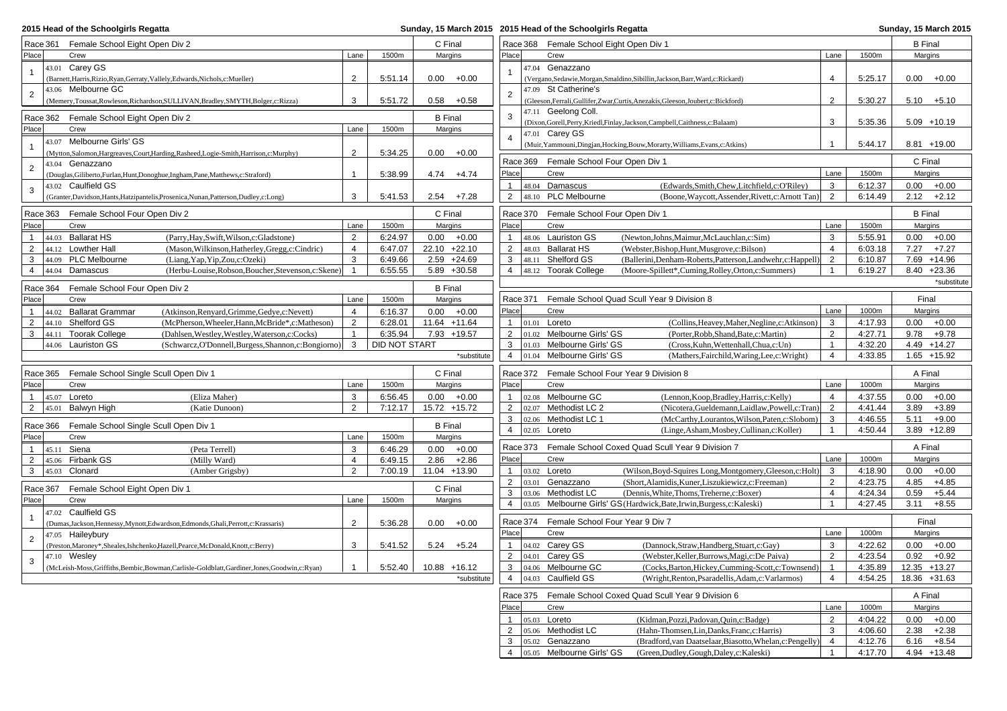| 2015 Head of the Schoolgirls Regatta                                                              |                |               |                |             | Sunday, 15 March 2015 2015 Head of the Schoolgirls Regatta |          |                                         |                                                                                     | Sunday, 15 March 2015 |         |                 |
|---------------------------------------------------------------------------------------------------|----------------|---------------|----------------|-------------|------------------------------------------------------------|----------|-----------------------------------------|-------------------------------------------------------------------------------------|-----------------------|---------|-----------------|
| Race 361 Female School Eight Open Div 2                                                           |                |               | C Final        |             |                                                            |          | Race 368 Female School Eight Open Div 1 |                                                                                     |                       |         | <b>B</b> Final  |
| Place<br>Crew                                                                                     | Lane           | 1500m         | Margins        |             | Place                                                      |          | Crew                                    |                                                                                     | Lane                  | 1500m   | Margins         |
| 43.01 Carey GS<br>$\mathbf{1}$                                                                    |                |               |                |             |                                                            |          | 47.04 Genazzano                         |                                                                                     |                       |         |                 |
| (Barnett, Harris, Rizio, Ryan, Gerraty, Vallely, Edwards, Nichols, c: Mueller)                    | $\overline{2}$ | 5:51.14       | $0.00 + 0.00$  |             |                                                            |          |                                         | (Vergano, Sedawie, Morgan, Smaldino, Sibillin, Jackson, Barr, Ward, c: Rickard)     | $\overline{4}$        | 5:25.17 | $0.00 + 0.00$   |
| 43.06 Melbourne GC                                                                                |                |               |                |             |                                                            |          | 47.09 St Catherine's                    |                                                                                     |                       |         |                 |
| $\sqrt{2}$<br>(Memery,Toussat,Rowleson,Richardson,SULLIVAN,Bradley,SMYTH,Bolger,c:Rizza)          | 3              | 5:51.72       | $0.58 + 0.58$  |             | $\overline{2}$                                             |          |                                         | (Gleeson, Ferrali, Gullifer, Zwar, Curtis, Anezakis, Gleeson, Joubert, c: Bickford) | 2                     | 5:30.27 | $5.10 + 5.10$   |
| Race 362 Female School Eight Open Div 2                                                           |                |               | <b>B</b> Final |             | 3                                                          |          | 47.11 Geelong Coll.                     |                                                                                     |                       |         |                 |
| Place<br>Crew                                                                                     | Lane           | 1500m         | Margins        |             |                                                            |          |                                         | (Dixon, Gorell, Perry, Kriedl, Finlay, Jackson, Campbell, Caithness, c: Balaam)     | 3                     | 5:35.36 | $5.09 + 10.19$  |
| 43.07 Melbourne Girls' GS                                                                         |                |               |                |             | $\overline{4}$                                             |          | 47.01 Carey GS                          |                                                                                     |                       |         |                 |
| (Mytton,Salomon,Hargreaves,Court,Harding,Rasheed,Logie-Smith,Harrison,c:Murphy)                   | $\sqrt{2}$     | 5:34.25       | $0.00 + 0.00$  |             |                                                            |          |                                         | (Muir, Yammouni, Dingjan, Hocking, Bouw, Morarty, Williams, Evans, c: Atkins)       |                       | 5:44.17 | 8.81 +19.00     |
| 43.04 Genazzano<br>$\overline{2}$                                                                 |                |               |                |             |                                                            |          | Race 369 Female School Four Open Div 1  |                                                                                     |                       |         | C Final         |
| (Douglas, Giliberto, Furlan, Hunt, Donoghue, Ingham, Pane, Matthews, c: Straford)                 | $\mathbf{1}$   | 5:38.99       | 4.74           | $+4.74$     | Place                                                      |          | Crew                                    |                                                                                     | Lane                  | 1500m   | Margins         |
| 43.02 Caulfield GS<br>3                                                                           |                |               |                |             | 1                                                          |          | 48.04 Damascus                          | (Edwards, Smith, Chew, Litchfield, c: O'Riley)                                      | 3                     | 6:12.37 | 0.00<br>$+0.00$ |
| (Granter, Davidson, Hants, Hatzipantelis, Prosenica, Nunan, Patterson, Dudley, c: Long)           | 3              | 5:41.53       | $2.54 + 7.28$  |             | $\overline{2}$                                             |          | 48.10 PLC Melbourne                     | (Boone, Waycott, Assender, Rivett, c: Arnott Tan)                                   | 2                     | 6:14.49 | 2.12<br>$+2.12$ |
| Race 363 Female School Four Open Div 2                                                            |                |               | C Final        |             |                                                            | Race 370 | Female School Four Open Div 1           |                                                                                     |                       |         | <b>B</b> Final  |
| Place<br>Crew                                                                                     | Lane           | 1500m         | Margins        |             | Place                                                      |          | Crew                                    |                                                                                     | Lane                  | 1500m   | Margins         |
| 44.03 Ballarat HS<br>(Parry, Hay, Swift, Wilson, c: Gladstone)<br>$\mathbf{1}$                    | $\overline{2}$ | 6:24.97       | 0.00           | $+0.00$     | 1                                                          |          | 48.06 Lauriston GS                      | (Newton,Johns,Maimur,McLauchlan,c:Sim)                                              | 3                     | 5:55.91 | 0.00<br>$+0.00$ |
| $\overline{2}$<br>44.12 Lowther Hall<br>(Mason, Wilkinson, Hatherley, Gregg, c: Cindric)          | 4              | 6:47.07       | 22.10 +22.10   |             | $\overline{2}$                                             |          | 48.03 Ballarat HS                       | (Webster, Bishop, Hunt, Musgrove, c: Bilson)                                        | $\overline{4}$        | 6:03.18 | $+7.27$<br>7.27 |
| 3<br>44.09 PLC Melbourne<br>(Liang, Yap, Yip, Zou, c: Ozeki)                                      | 3              | 6:49.66       | $2.59 +24.69$  |             | 3                                                          |          | 48.11 Shelford GS                       | (Ballerini, Denham-Roberts, Patterson, Landwehr, c: Happell                         | 2                     | 6:10.87 | 7.69 +14.96     |
| 44.04 Damascus<br>$\overline{4}$<br>(Herbu-Louise, Robson, Boucher, Stevenson, c: Skene)          | $\mathbf{1}$   | 6:55.55       | $5.89 + 30.58$ |             | $\overline{4}$                                             |          | 48.12 Toorak College                    | (Moore-Spillett*,Cuming,Rolley,Orton,c:Summers)                                     | $\mathbf{1}$          | 6:19.27 | $8.40 +23.36$   |
|                                                                                                   |                |               |                |             |                                                            |          |                                         |                                                                                     |                       |         | *substitute     |
| Race 364<br>Female School Four Open Div 2                                                         |                |               | <b>B</b> Final |             |                                                            |          |                                         |                                                                                     |                       |         |                 |
| Place<br>Crew                                                                                     | Lane           | 1500m         | Margins        |             |                                                            |          |                                         | Race 371 Female School Quad Scull Year 9 Division 8                                 |                       |         | Final           |
| <b>Ballarat Grammar</b><br>(Atkinson, Renyard, Grimme, Gedye, c: Nevett)<br>$\mathbf{1}$<br>44.02 | $\overline{4}$ | 6:16.37       | 0.00           | $+0.00$     | Place                                                      |          | Crew                                    |                                                                                     | Lane                  | 1000m   | Margins         |
| $\overline{2}$<br>44.10 Shelford GS<br>(McPherson, Wheeler, Hann, McBride*, c: Matheson)          | $\overline{2}$ | 6:28.01       | 11.64 +11.64   |             | 1                                                          |          | 01.01 Loreto                            | (Collins, Heavey, Maher, Negline, c: Atkinson)                                      | 3                     | 4:17.93 | 0.00<br>$+0.00$ |
| 3<br>44.11 Toorak College<br>(Dahlsen, Westley, Westley, Waterson, c: Cocks)                      | $\mathbf{1}$   | 6:35.94       | 7.93 +19.57    |             | $\overline{2}$                                             |          | 01.02 Melbourne Girls' GS               | (Porter, Robb, Shand, Bate, c: Martin)                                              | 2                     | 4:27.71 | 9.78<br>$+9.78$ |
| 44.06 Lauriston GS<br>(Schwarcz, O'Donnell, Burgess, Shannon, c: Bongiorno)                       | 3              | DID NOT START |                |             | 3                                                          |          | 01.03 Melbourne Girls' GS               | (Cross, Kuhn, Wettenhall, Chua, c: Un)                                              | $\mathbf{1}$          | 4:32.20 | 4.49 +14.27     |
|                                                                                                   |                |               |                | *substitute | $\overline{4}$                                             |          | 01.04 Melbourne Girls' GS               | (Mathers, Fairchild, Waring, Lee, c: Wright)                                        | 4                     | 4:33.85 | $1.65 + 15.92$  |
| Female School Single Scull Open Div 1<br>Race 365                                                 |                |               | C Final        |             |                                                            | Race 372 |                                         | Female School Four Year 9 Division 8                                                |                       |         | A Final         |
| Place<br>Crew                                                                                     | Lane           | 1500m         | Margins        |             | Place                                                      |          | Crew                                    |                                                                                     | Lane                  | 1000m   | Margins         |
| 45.07 Loreto<br>(Eliza Maher)<br>$\mathbf{1}$                                                     | 3              | 6:56.45       | 0.00           | $+0.00$     | 1                                                          |          | 02.08 Melbourne GC                      | (Lennon, Koop, Bradley, Harris, c: Kelly)                                           | $\overline{4}$        | 4:37.55 | 0.00<br>$+0.00$ |
| 2<br><b>Balwyn High</b><br>(Katie Dunoon)<br>45.01                                                | 2              | 7:12.17       | 15.72 +15.72   |             | $\overline{2}$                                             |          | 02.07 Methodist LC 2                    | (Nicotera, Gueldemann, Laidlaw, Powell, c: Tran)                                    | 2                     | 4:41.44 | 3.89<br>$+3.89$ |
| Race 366<br>Female School Single Scull Open Div 1                                                 |                |               | <b>B</b> Final |             | 3                                                          |          | 02.06 Methodist LC 1                    | (McCarthy,Lourantos,Wilson,Paten,c:Slobom)                                          | 3                     | 4:46.55 | 5.11<br>$+9.00$ |
| Place<br>Crew                                                                                     | Lane           | 1500m         | Margins        |             | $\overline{4}$                                             | 02.05    | Loreto                                  | (Linge, Asham, Mosbey, Cullinan, c: Koller)                                         | $\mathbf{1}$          | 4:50.44 | 3.89 +12.89     |
| $\mathbf{1}$<br>45.11 Siena<br>(Peta Terrell)                                                     | 3              | 6:46.29       | $0.00 + 0.00$  |             |                                                            |          |                                         | Race 373 Female School Coxed Quad Scull Year 9 Division 7                           |                       |         | A Final         |
| 45.06 Firbank GS<br>$\overline{2}$<br>(Milly Ward)                                                | $\overline{4}$ | 6:49.15       | 2.86           | $+2.86$     | Place                                                      |          | Crew                                    |                                                                                     | Lane                  | 1000m   | Margins         |
| 3<br>45.03<br>Clonard<br>(Amber Grigsby)                                                          | $\overline{2}$ | 7:00.19       | 11.04          | $+13.90$    | $\mathbf{1}$                                               |          | 03.02 Loreto                            | (Wilson, Boyd-Squires Long, Montgomery, Gleeson, c: Holt)                           | 3                     | 4:18.90 | 0.00<br>$+0.00$ |
|                                                                                                   |                |               |                |             | $\overline{2}$                                             | 03.01    | Genazzano                               | (Short, Alamidis, Kuner, Liszukiewicz, c: Freeman)                                  | 2                     | 4:23.75 | 4.85<br>$+4.85$ |
| Race 367<br>Female School Eight Open Div 1                                                        |                |               | C Final        |             | 3                                                          |          | 03.06 Methodist LC                      | (Dennis, White, Thoms, Treherne, c: Boxer)                                          | $\overline{4}$        | 4:24.34 | 0.59<br>$+5.44$ |
| Place<br>Crew                                                                                     | Lane           | 1500m         | Margins        |             | $\overline{4}$                                             | 03.05    |                                         | Melbourne Girls' GS (Hardwick, Bate, Irwin, Burgess, c: Kaleski)                    | $\mathbf{1}$          | 4:27.45 | 3.11<br>$+8.55$ |
| 47.02 Caulfield GS                                                                                |                |               |                |             |                                                            |          |                                         |                                                                                     |                       |         |                 |
| (Dumas, Jackson, Hennessy, Mynott, Edwardson, Edmonds, Ghali, Perrott, c: Krassaris)              | 2              | 5:36.28       | 0.00           | $+0.00$     |                                                            | Race 374 | Female School Four Year 9 Div 7         |                                                                                     |                       |         | Final           |
| 47.05 Haileybury<br>$\overline{2}$                                                                |                |               |                |             | Place                                                      |          | Crew                                    |                                                                                     | Lane                  | 1000m   | Margins         |
| (Preston, Maroney*, Sheales, Ishchenko, Hazell, Pearce, McDonald, Knott, c: Berry)                | 3              | 5:41.52       | 5.24           | $+5.24$     | 1                                                          |          | 04.02 Carey GS                          | (Dannock, Straw, Handberg, Stuart, c: Gay)                                          | 3                     | 4:22.62 | 0.00<br>$+0.00$ |
| 47.10 Wesley<br>3                                                                                 |                |               |                |             | $\overline{2}$                                             |          | 04.01 Carey GS                          | (Webster, Keller, Burrows, Magi, c: De Paiva)                                       | $\overline{2}$        | 4:23.54 | 0.92<br>$+0.92$ |
| (McLeish-Moss, Griffiths, Bembic, Bowman, Carlisle-Goldblatt, Gardiner, Jones, Goodwin, c: Ryan)  | $\mathbf{1}$   | 5:52.40       | 10.88 +16.12   |             | 3<br>$\overline{4}$                                        | 04.03    | 04.06 Melbourne GC<br>Caulfield GS      | (Cocks, Barton, Hickey, Cumming-Scott, c: Townsend)                                 | $\overline{1}$<br>4   | 4:35.89 | 12.35 +13.27    |
|                                                                                                   |                |               |                | *substitute |                                                            |          |                                         | (Wright, Renton, Psaradellis, Adam, c: Varlarmos)                                   |                       | 4:54.25 | 18.36 +31.63    |
|                                                                                                   |                |               |                |             |                                                            |          |                                         | Race 375 Female School Coxed Quad Scull Year 9 Division 6                           |                       |         | A Final         |
|                                                                                                   |                |               |                |             | Place                                                      |          | Crew                                    |                                                                                     | Lane                  | 1000m   | Margins         |
|                                                                                                   |                |               |                |             |                                                            |          | 05.03 Loreto                            | (Kidman, Pozzi, Padovan, Quin, c: Badge)                                            | $\overline{2}$        | 4:04.22 | 0.00<br>$+0.00$ |
|                                                                                                   |                |               |                |             | 2                                                          |          | 05.06 Methodist LC                      | (Hahn-Thomsen, Lin, Danks, Franc, c: Harris)                                        | 3                     | 4:06.60 | 2.38<br>$+2.38$ |
|                                                                                                   |                |               |                |             | 3                                                          |          | 05.02 Genazzano                         | (Bradford, van Daatselaar, Biasotto, Whelan, c: Pengelly)                           | $\overline{4}$        | 4:12.76 | 6.16<br>$+8.54$ |

<sup>4</sup> 05.05 Melbourne Girls' GS (Green,Dudley,Gough,Daley,c:Kaleski) 1 4:17.70 4.94 +13.48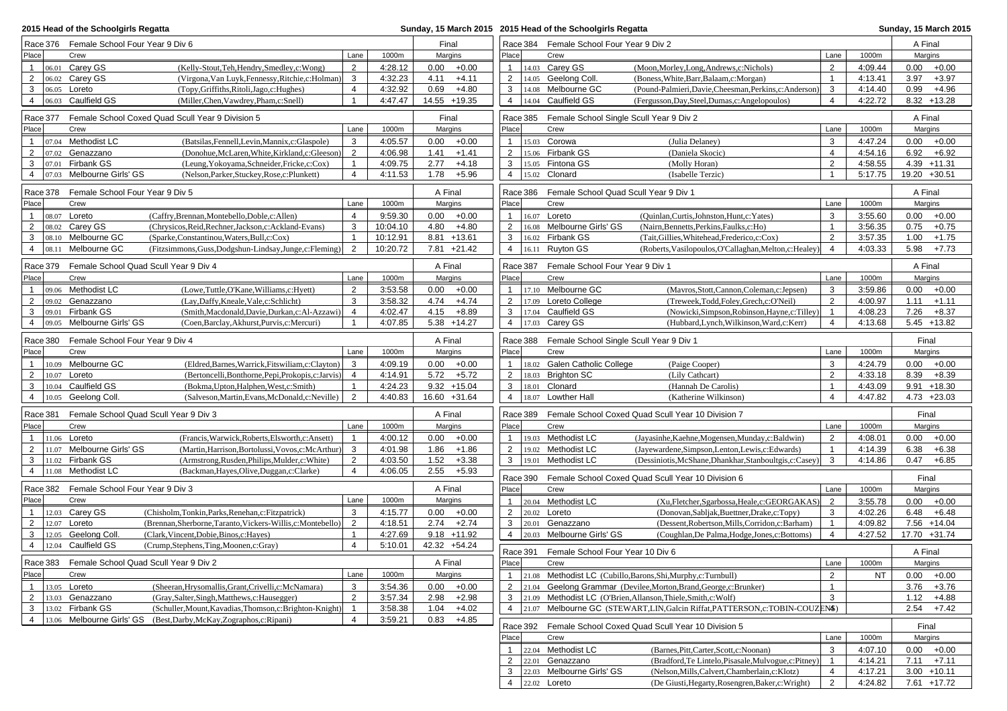| 2015 Head of the Schoolgirls Regatta |                                          |                                                |                                                                                |          |         |                |                | Sunday, 15 March 2015 2015 Head of the Schoolgirls Regatta |                                                                               |                |         | Sunday, 15 March 2015 |         |
|--------------------------------------|------------------------------------------|------------------------------------------------|--------------------------------------------------------------------------------|----------|---------|----------------|----------------|------------------------------------------------------------|-------------------------------------------------------------------------------|----------------|---------|-----------------------|---------|
|                                      | Race 376 Female School Four Year 9 Div 6 |                                                |                                                                                |          |         | Final          |                | Race 384 Female School Four Year 9 Div 2                   |                                                                               |                |         | A Final               |         |
| Place                                |                                          | Crew                                           | Lane                                                                           | 1000m    |         | Margins        | Place          | Crew                                                       |                                                                               | Lane           | 1000m   | Margins               |         |
| $\mathbf{1}$                         |                                          | $ 06.01$ Carey GS                              | $\overline{2}$<br>(Kelly-Stout, Teh, Hendry, Smedley, c: Wong)                 | 4:28.12  |         | $0.00 + 0.00$  | $\mathbf{1}$   | 14.03 Carey GS                                             | (Moon, Morley, Long, Andrews, c: Nichols)                                     | 2              | 4:09.44 | 0.00                  | $+0.00$ |
| $\overline{2}$                       |                                          | 06.02 Carey GS                                 | $\mathbf{3}$<br>(Virgona, Van Luyk, Fennessy, Ritchie, c: Holman)              | 4:32.23  | 4.11    | $+4.11$        | $\overline{2}$ | 14.05 Geelong Coll.                                        | (Boness, White, Barr, Balaam, c: Morgan)                                      | $\mathbf{1}$   | 4:13.41 | 3.97                  | $+3.97$ |
| 3                                    |                                          | 06.05 Loreto                                   | $\overline{4}$<br>(Topy, Griffiths, Ritoli, Jago, c: Hughes)                   | 4:32.92  | 0.69    | $+4.80$        | 3              | 14.08 Melbourne GC                                         | (Pound-Palmieri, Davie, Cheesman, Perkins, c: Anderson)                       | 3              | 4:14.40 | 0.99                  | $+4.96$ |
| 4                                    |                                          | 06.03 Caulfield GS                             | $\mathbf{1}$<br>(Miller, Chen, Vawdrey, Pham, c: Snell)                        | 4:47.47  |         | 14.55 +19.35   | 4              | 14.04 Caulfield GS                                         | (Fergusson, Day, Steel, Dumas, c: Angelopoulos)                               | $\overline{4}$ | 4:22.72 | $8.32 + 13.28$        |         |
|                                      | Race 377                                 |                                                | Female School Coxed Quad Scull Year 9 Division 5                               |          |         | Final          | Race 385       | Female School Single Scull Year 9 Div 2                    |                                                                               |                |         | A Final               |         |
| Place                                |                                          | Crew                                           | Lane                                                                           | 1000m    |         | Margins        | Place          | Crew                                                       |                                                                               | Lane           | 1000m   | Margins               |         |
| $\mathbf{1}$                         |                                          | 07.04 Methodist LC                             | 3<br>(Batsilas, Fennell, Levin, Mannix, c: Glaspole)                           | 4:05.57  | 0.00    | $+0.00$        | $\mathbf{1}$   | 15.03 Corowa                                               | (Julia Delaney)                                                               | 3              | 4:47.24 | 0.00                  | $+0.00$ |
| 2                                    | 07.02                                    | Genazzano                                      | $\overline{2}$<br>(Donohue, McLaren, White, Kirkland, c: Gleeson)              | 4:06.98  | 1.41    | $+1.41$        | $\overline{2}$ | 15.06 Firbank GS                                           | (Daniela Skocic)                                                              | $\overline{4}$ | 4:54.16 | 6.92                  | $+6.92$ |
| 3                                    | 07.01                                    | Firbank GS                                     | $\mathbf{1}$<br>(Leung, Yokoyama, Schneider, Fricke, c: Cox)                   | 4:09.75  | 2.77    | $+4.18$        | 3              | 15.05 Fintona GS                                           | (Molly Horan)                                                                 | $\overline{2}$ | 4:58.55 | $4.39 + 11.31$        |         |
| 4                                    | 07.03                                    | Melbourne Girls' GS                            | $\overline{4}$<br>(Nelson, Parker, Stuckey, Rose, c: Plunkett)                 | 4:11.53  | 1.78    | $+5.96$        | $\overline{4}$ | 15.02 Clonard                                              | (Isabelle Terzic)                                                             | $\overline{1}$ | 5:17.75 | 19.20 +30.51          |         |
|                                      |                                          |                                                |                                                                                |          |         |                |                |                                                            |                                                                               |                |         |                       |         |
|                                      | Race 378                                 | Female School Four Year 9 Div 5                |                                                                                |          |         | A Final        | Race 386       | Female School Quad Scull Year 9 Div 1                      |                                                                               |                |         | A Final               |         |
| Place                                |                                          | Crew                                           | Lane                                                                           | 1000m    |         | Margins        | Place          | Crew                                                       |                                                                               | Lane           | 1000m   | Margins               |         |
| 1                                    |                                          | 08.07 Loreto                                   | $\overline{4}$<br>(Caffry, Brennan, Montebello, Doble, c: Allen)               | 9:59.30  |         | $0.00 + 0.00$  | $\mathbf{1}$   | 16.07 Loreto                                               | (Quinlan, Curtis, Johnston, Hunt, c: Yates)                                   | 3              | 3:55.60 | 0.00                  | $+0.00$ |
| 2                                    |                                          | 08.02 Carey GS                                 | 3<br>(Chrysicos, Reid, Rechner, Jackson, c: Ackland-Evans)                     | 10:04.10 | 4.80    | $+4.80$        | 2              | 16.08 Melbourne Girls' GS                                  | (Nairn, Bennetts, Perkins, Faulks, c: Ho)                                     | $\overline{1}$ | 3:56.35 | 0.75                  | $+0.75$ |
| 3                                    |                                          | 08.10 Melbourne GC                             | (Sparke,Constantinou,Waters,Bull,c:Cox)<br>$\mathbf{1}$                        | 10:12.91 |         | 8.81 +13.61    | 3              | 16.02 Firbank GS                                           | (Tait, Gillies, Whitehead, Frederico, c: Cox)                                 | 2              | 3:57.35 | 1.00                  | $+1.75$ |
| 4                                    |                                          | 08.11 Melbourne GC                             | 2<br>(Fitzsimmons, Guss, Dodgshun-Lindsay, Junge, c: Fleming)                  | 10:20.72 |         | 7.81 +21.42    | $\overline{4}$ | 16.11 Ruyton GS                                            | (Roberts, Vasilopoulos, O'Callaghan, Melton, c: Healey                        | $\overline{4}$ | 4:03.33 | 5.98                  | $+7.73$ |
|                                      | Race 379                                 | Female School Quad Scull Year 9 Div 4          |                                                                                |          |         | A Final        | Race 387       | Female School Four Year 9 Div 1                            |                                                                               |                |         | A Final               |         |
| Place                                |                                          | Crew                                           | Lane                                                                           | 1000m    |         | Margins        | Place          | Crew                                                       |                                                                               | Lane           | 1000m   | Margins               |         |
| $\mathbf{1}$                         |                                          | 09.06 Methodist LC                             | 2<br>(Lowe,Tuttle,O'Kane,Williams,c:Hyett)                                     | 3:53.58  |         | $0.00 + 0.00$  | $\mathbf{1}$   | 17.10 Melbourne GC                                         | (Mavros, Stott, Cannon, Coleman, c: Jepsen)                                   | 3              | 3:59.86 | 0.00                  | $+0.00$ |
| $\overline{2}$                       |                                          | 09.02 Genazzano                                | 3<br>(Lay,Daffy,Kneale,Vale,c:Schlicht)                                        | 3:58.32  | 4.74    | $+4.74$        | $\overline{2}$ | 17.09 Loreto College                                       | (Treweek,Todd,Foley,Grech,c:O'Neil)                                           | 2              | 4:00.97 | 1.11                  | $+1.11$ |
| 3                                    |                                          | 09.01 Firbank GS                               | $\overline{4}$<br>(Smith, Macdonald, Davie, Durkan, c: Al-Azzawi)              | 4:02.47  | 4.15    | $+8.89$        | 3              | 17.04 Caulfield GS                                         | (Nowicki, Simpson, Robinson, Hayne, c: Tilley)                                | $\mathbf{1}$   | 4:08.23 | 7.26                  | $+8.37$ |
| 4                                    | 09.05                                    | Melbourne Girls' GS                            | $\mathbf{1}$<br>(Coen, Barclay, Akhurst, Purvis, c: Mercuri)                   | 4:07.85  |         | $5.38 + 14.27$ | $\overline{4}$ | 17.03 Carey GS                                             | (Hubbard, Lynch, Wilkinson, Ward, c: Kerr)                                    | $\overline{4}$ | 4:13.68 | $5.45 + 13.82$        |         |
|                                      | Race 380                                 | Female School Four Year 9 Div 4                |                                                                                |          | A Final |                | Race 388       | Female School Single Scull Year 9 Div 1                    |                                                                               |                |         | Final                 |         |
| Place                                |                                          | Crew                                           | Lane                                                                           | 1000m    |         | Margins        | Place          | Crew                                                       |                                                                               | Lane           | 1000m   | Margins               |         |
| $\mathbf{1}$                         |                                          | 10.09 Melbourne GC                             | 3<br>(Eldred, Barnes, Warrick, Fitswiliam, c: Clayton)                         | 4:09.19  |         | $0.00 + 0.00$  | $\mathbf{1}$   | 18.02 Galen Catholic College                               | (Paige Cooper)                                                                | 3              | 4:24.79 | 0.00                  | $+0.00$ |
| 2                                    |                                          | 10.07 Loreto                                   | (Bertoncelli, Bonthorne, Pepi, Prokopis, c: Jarvis)<br>$\overline{4}$          | 4:14.91  |         | $5.72 + 5.72$  | 2              | 18.03 Brighton SC                                          | (Lily Cathcart)                                                               | $\overline{2}$ | 4:33.18 | 8.39                  | $+8.39$ |
| 3                                    |                                          | 10.04 Caulfield GS                             | (Bokma, Upton, Halphen, West, c: Smith)<br>$\overline{1}$                      | 4:24.23  |         | $9.32 + 15.04$ | 3              | 18.01 Clonard                                              | (Hannah De Carolis)                                                           | $\overline{1}$ | 4:43.09 | $9.91 + 18.30$        |         |
| 4                                    |                                          | 10.05 Geelong Coll.                            | $\overline{2}$<br>(Salveson, Martin, Evans, McDonald, c: Neville)              | 4:40.83  |         | 16.60 +31.64   | $\overline{4}$ | 18.07 Lowther Hall                                         | (Katherine Wilkinson)                                                         | $\overline{4}$ | 4:47.82 | $4.73 +23.03$         |         |
|                                      |                                          |                                                |                                                                                |          |         |                |                |                                                            |                                                                               |                |         |                       |         |
|                                      | Race 381                                 | Female School Quad Scull Year 9 Div 3          |                                                                                |          |         | A Final        | Race 389       |                                                            | Female School Coxed Quad Scull Year 10 Division 7                             |                |         | Final                 |         |
| Place                                |                                          | Crew                                           | Lane                                                                           | 1000m    |         | Margins        | Place          | Crew                                                       |                                                                               | Lane           | 1000m   | Margins               |         |
| 1                                    |                                          | 11.06 Loreto                                   | (Francis, Warwick, Roberts, Elsworth, c: Ansett)<br>$\mathbf{1}$               | 4:00.12  |         | $0.00 + 0.00$  | $\mathbf{1}$   | 19.03 Methodist LC                                         | (Jayasinhe, Kaehne, Mogensen, Munday, c: Baldwin)                             | 2              | 4:08.01 | 0.00                  | $+0.00$ |
| 2                                    |                                          | 11.07 Melbourne Girls' GS                      | 3<br>(Martin, Harrison, Bortolussi, Vovos, c: McArthur)                        | 4:01.98  |         | $1.86 + 1.86$  | $\overline{2}$ | 19.02 Methodist LC                                         | (Jayewardene, Simpson, Lenton, Lewis, c: Edwards)                             | $\mathbf{1}$   | 4:14.39 | 6.38                  | $+6.38$ |
| 3                                    |                                          | 11.02 Firbank GS                               | $\overline{2}$<br>(Armstrong, Rusden, Philips, Mulder, c: White)               | 4:03.50  | 1.52    | $+3.38$        | 3              | 19.01 Methodist LC                                         | (Dessiniotis, McShane, Dhankhar, Stanboultgis, c: Casey)                      | 3              | 4:14.86 | 0.47                  | $+6.85$ |
|                                      |                                          | 4   11.08 Methodist LC                         | $\overline{4}$<br>(Backman, Hayes, Olive, Duggan, c: Clarke)                   | 4:06.05  |         | $2.55 + 5.93$  | Race 390       |                                                            | Female School Coxed Quad Scull Year 10 Division 6                             |                |         | Final                 |         |
|                                      |                                          | Race 382 Female School Four Year 9 Div 3       |                                                                                |          |         | A Final        | Place          | Crew                                                       |                                                                               | Lane           | 1000m   | Margins               |         |
| Place                                |                                          | Crew                                           | Lane                                                                           | 1000m    |         | Margins        | $\mathbf{1}$   | 20.04 Methodist LC                                         | (Xu,Fletcher,Sgarbossa,Heale,c:GEORGAKAS)                                     | $\overline{2}$ | 3:55.78 | 0.00                  | $+0.00$ |
|                                      |                                          | 12.03 Carey GS                                 | 3<br>(Chisholm,Tonkin,Parks,Renehan,c:Fitzpatrick)                             | 4:15.77  |         | $0.00 + 0.00$  | $\overline{2}$ | 20.02 Loreto                                               | (Donovan, Sabljak, Buettner, Drake, c: Topy)                                  | 3              | 4:02.26 | 6.48                  | $+6.48$ |
| $\overline{2}$                       |                                          | 12.07 Loreto                                   | $\overline{2}$<br>(Brennan, Sherborne, Taranto, Vickers-Willis, c: Montebello) | 4:18.51  |         | $2.74 +2.74$   | 3              | 20.01 Genazzano                                            | (Dessent, Robertson, Mills, Corridon, c: Barham)                              | $\mathbf{1}$   | 4:09.82 | 7.56 +14.04           |         |
| 3                                    |                                          | 12.05 Geelong Coll.                            | $\mathbf{1}$<br>(Clark, Vincent, Dobie, Binos, c: Hayes)                       | 4:27.69  |         | $9.18 + 11.92$ | $\overline{4}$ | 20.03 Melbourne Girls' GS                                  | (Coughlan, De Palma, Hodge, Jones, c: Bottoms)                                | $\overline{4}$ | 4:27.52 | 17.70 +31.74          |         |
| 4                                    |                                          | 12.04 Caulfield GS                             | $\overline{4}$<br>(Crump, Stephens, Ting, Moonen, c: Gray)                     | 5:10.01  |         | 42.32 +54.24   |                | Race 391 Female School Four Year 10 Div 6                  |                                                                               |                |         | A Final               |         |
|                                      |                                          | Race 383 Female School Quad Scull Year 9 Div 2 |                                                                                |          |         | A Final        | Place          | Crew                                                       |                                                                               | Lane           | 1000m   | Margins               |         |
| Place                                |                                          | Crew                                           | Lane                                                                           | 1000m    |         | Margins        | $\mathbf{1}$   |                                                            | 21.08 Methodist LC (Cubillo, Barons, Shi, Murphy, c: Turnbull)                | 2              | NT      | 0.00                  | $+0.00$ |
|                                      |                                          | 1   $13.05$ Loreto                             | (Sheeran, Hrysomallis, Grant, Crivelli, c: McNamara)<br>3                      | 3:54.36  |         | $0.00 + 0.00$  | $\overline{2}$ |                                                            | 21.04 Geelong Grammar (Devilee, Morton, Brand, George, c: Brunker)            | $\mathbf{1}$   |         | 3.76                  | $+3.76$ |
| $\overline{2}$                       |                                          | 13.03 Genazzano                                | (Gray, Salter, Singh, Matthews, c: Hausegger)<br>2                             | 3:57.34  |         | $2.98 + 2.98$  | 3              |                                                            | 21.09 Methodist LC (O'Brien, Allanson, Thiele, Smith, c: Wolf)                | 3              |         | 1.12                  | $+4.88$ |
| 3                                    |                                          | 13.02 Firbank GS                               | (Schuller, Mount, Kavadias, Thomson, c: Brighton-Knight)<br>$\overline{1}$     | 3:58.38  | 1.04    | $+4.02$        | 4              |                                                            | 21.07 Melbourne GC (STEWART, LIN, Galcin Riffat, PATTERSON, c: TOBIN-COUZENS) |                |         | 2.54                  | $+7.42$ |
| 4                                    |                                          | 13.06 Melbourne Girls' GS                      | (Best,Darby,McKay,Zographos,c:Ripani)<br>4                                     | 3:59.21  |         | $0.83 +4.85$   |                |                                                            |                                                                               |                |         |                       |         |
|                                      |                                          |                                                |                                                                                |          |         |                | Race 392       |                                                            | Female School Coxed Quad Scull Year 10 Division 5                             |                |         | Final                 |         |
|                                      |                                          |                                                |                                                                                |          |         |                | Place          | Crew                                                       |                                                                               | Lane           | 1000m   | Margins               |         |
|                                      |                                          |                                                |                                                                                |          |         |                | $\mathbf{1}$   | 22.04 Methodist LC                                         | (Barnes, Pitt, Carter, Scott, c: Noonan)                                      | 3              | 4:07.10 | 0.00                  | $+0.00$ |
|                                      |                                          |                                                |                                                                                |          |         |                | $\overline{2}$ | 22.01 Genazzano                                            | (Bradford, Te Lintelo, Pisasale, Mulvogue, c: Pitney)                         | -1             | 4:14.21 | 7.11                  | $+7.11$ |
|                                      |                                          |                                                |                                                                                |          |         |                | 3              | 22.03 Melbourne Girls' GS                                  | (Nelson, Mills, Calvert, Chamberlain, c: Klotz)                               | $\overline{4}$ | 4:17.21 | $3.00 + 10.11$        |         |
|                                      |                                          |                                                |                                                                                |          |         |                | $\overline{4}$ | 22.02 Loreto                                               | (De Giusti, Hegarty, Rosengren, Baker, c: Wright)                             | 2              | 4:24.82 | 7.61 +17.72           |         |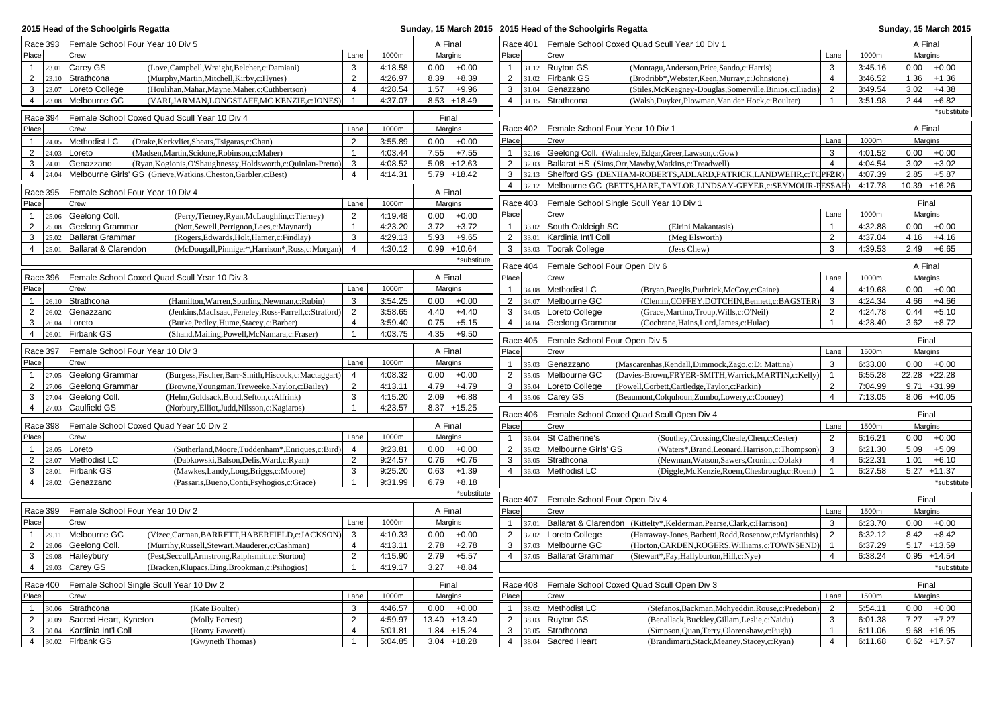| 2015 Head of the Schoolgirls Regatta                                                                                                                          |                                | Sunday, 15 March 2015 2015 Head of the Schoolgirls Regatta |              |                |                                |          |                                                       | Sunday, 15 March 2015                                                                         |                |                    |              |                    |
|---------------------------------------------------------------------------------------------------------------------------------------------------------------|--------------------------------|------------------------------------------------------------|--------------|----------------|--------------------------------|----------|-------------------------------------------------------|-----------------------------------------------------------------------------------------------|----------------|--------------------|--------------|--------------------|
| Race 393 Female School Four Year 10 Div 5                                                                                                                     |                                | A Final                                                    |              |                |                                |          | Race 401 Female School Coxed Quad Scull Year 10 Div 1 |                                                                                               |                | A Final            |              |                    |
| Place<br>Crew                                                                                                                                                 | Lane                           | 1000m                                                      | Margins      |                | Place                          |          | Crew                                                  |                                                                                               | Lane           | 1000m              | Margins      |                    |
| $23.01$ Carey GS<br>(Love,Campbell,Wraight,Belcher,c:Damiani)<br>1                                                                                            | 3                              | 4:18.58                                                    |              | $0.00 + 0.00$  | $\mathbf{1}$                   |          | 31.12 Ruyton GS                                       | (Montagu, Anderson, Price, Sando, c: Harris)                                                  | 3              | 3:45.16            | 0.00         | $+0.00$            |
| $\overline{2}$<br>23.10 Strathcona<br>(Murphy, Martin, Mitchell, Kirby, c: Hynes)                                                                             | 2                              | 4:26.97                                                    | 8.39         | $+8.39$        | $\overline{2}$                 |          | 31.02 Firbank GS                                      | (Brodribb*, Webster, Keen, Murray, c: Johnstone)                                              | $\overline{4}$ | 3:46.52            | 1.36         | $+1.36$            |
| 3<br>23.07 Loreto College<br>(Houlihan, Mahar, Mayne, Maher, c: Cuthbertson)                                                                                  | $\overline{4}$                 | 4:28.54                                                    | 1.57         | $+9.96$        | 3                              |          | 31.04 Genazzano                                       | (Stiles, McKeagney-Douglas, Somerville, Binios, c: Iliadis)                                   | $\overline{2}$ | 3:49.54            | 3.02         | $+4.38$            |
| $\overline{4}$<br>Melbourne GC<br>(VARI, JARMAN, LONGSTAFF, MC KENZIE, c: JONES)<br>23.08                                                                     | $\overline{1}$                 | 4:37.07                                                    |              | $8.53 + 18.49$ | $\overline{4}$                 |          | 31.15 Strathcona                                      | (Walsh, Duyker, Plowman, Van der Hock, c: Boulter)                                            | $\mathbf{1}$   | 3:51.98            | 2.44         | $+6.82$            |
| Race 394<br>Female School Coxed Quad Scull Year 10 Div 4                                                                                                      |                                |                                                            | Final        |                |                                |          |                                                       |                                                                                               |                |                    |              | *substitute        |
| Place<br>Crew                                                                                                                                                 | Lane                           | 1000m                                                      | Margins      |                |                                | Race 402 |                                                       | Female School Four Year 10 Div 1                                                              |                |                    | A Final      |                    |
| 24.05 Methodist LC<br>(Drake, Kerkvliet, Sheats, Tsigaras, c: Chan)<br>$\mathbf{1}$                                                                           | $\overline{2}$                 | 3:55.89                                                    |              | $0.00 + 0.00$  | Place                          |          | Crew                                                  |                                                                                               | Lane           | 1000m              | Margins      |                    |
| $\overline{2}$<br>(Madsen, Martin, Scidone, Robinson, c: Maher)<br>$24.03$ Loreto                                                                             | $\mathbf{1}$                   | 4:03.44                                                    |              | $7.55 + 7.55$  | 1                              |          |                                                       | 32.16 Geelong Coll. (Walmsley, Edgar, Greer, Lawson, c: Gow)                                  | 3              | 4:01.52            | 0.00         | $+0.00$            |
| 3<br>24.01<br>Genazzano<br>(Ryan, Kogionis, O'Shaughnessy, Holdsworth, c: Quinlan-Pretto)                                                                     | 3                              | 4:08.52                                                    |              | $5.08 + 12.63$ | $\overline{2}$                 |          |                                                       | 32.03 Ballarat HS (Sims, Orr, Mawby, Watkins, c: Treadwell)                                   | $\overline{4}$ | 4:04.54            | 3.02         | $+3.02$            |
| Melbourne Girls' GS (Grieve, Watkins, Cheston, Garbler, c: Best)<br>$\overline{4}$<br>24.04                                                                   | $\overline{4}$                 | 4:14.31                                                    |              | 5.79 +18.42    | 3                              |          |                                                       | 32.13 Shelford GS (DENHAM-ROBERTS, ADLARD, PATRICK, LANDWEHR, c: TO PFER)                     |                | 4:07.39            | 2.85         | $+5.87$            |
|                                                                                                                                                               |                                |                                                            | A Final      |                | $\overline{4}$                 |          |                                                       | 32.12 Melbourne GC (BETTS, HARE, TAYLOR, LINDSAY-GEYER, c: SEYMOUR-PESSAH)                    |                | 4:17.78            |              | $10.39 + 16.26$    |
| Race 395<br>Female School Four Year 10 Div 4<br>Place<br>Crew                                                                                                 | Lane                           | 1000m                                                      | Margins      |                |                                | Race 403 |                                                       | Female School Single Scull Year 10 Div 1                                                      |                |                    | Final        |                    |
| $\mathbf{1}$                                                                                                                                                  | 2                              | 4:19.48                                                    |              | $0.00 + 0.00$  | Place                          |          | Crew                                                  |                                                                                               | Lane           | 1000m              | Margins      |                    |
| 25.06 Geelong Coll.<br>(Perry, Tierney, Ryan, McLaughlin, c: Tierney)<br>$\overline{2}$<br>Geelong Grammar<br>(Nott,Sewell,Perrignon,Lees,c:Maynard)<br>25.08 | $\mathbf{1}$                   | 4:23.20                                                    | 3.72         | $+3.72$        | $\mathbf{1}$                   |          | 33.02 South Oakleigh SC                               | (Eirini Makantasis)                                                                           | $\mathbf{1}$   | 4:32.88            | 0.00         | $+0.00$            |
| 3<br>25.02 Ballarat Grammar<br>(Rogers, Edwards, Holt, Hamer, c: Findlay)                                                                                     | 3                              | 4:29.13                                                    | 5.93         | $+9.65$        | $\overline{2}$                 |          | 33.01 Kardinia Int'l Coll                             | (Meg Elsworth)                                                                                | $\overline{2}$ | 4:37.04            | 4.16         | $+4.16$            |
| 4 25.01 Ballarat & Clarendon<br>(McDougall, Pinniger*, Harrison*, Ross, c: Morgan)                                                                            | $\overline{4}$                 | 4:30.12                                                    |              | $0.99 + 10.64$ | 3                              |          | 33.03 Toorak College                                  | (Jess Chew)                                                                                   | 3              | 4:39.53            | 2.49         | $+6.65$            |
|                                                                                                                                                               |                                |                                                            |              | *substitute    |                                |          |                                                       |                                                                                               |                |                    |              |                    |
|                                                                                                                                                               |                                |                                                            |              |                |                                |          | Race 404 Female School Four Open Div 6                |                                                                                               |                |                    | A Final      |                    |
| Female School Coxed Quad Scull Year 10 Div 3<br>Race 396                                                                                                      |                                |                                                            | A Final      |                | Place                          |          | Crew                                                  |                                                                                               | Lane           | 1000m              |              | Margins            |
| Crew<br>Place                                                                                                                                                 | Lane                           | 1000m                                                      | Margins      |                | $\mathbf{1}$                   |          | 34.08 Methodist LC                                    | (Bryan, Paeglis, Purbrick, McCoy, c: Caine)                                                   | $\overline{4}$ | 4:19.68            | 0.00         | $+0.00$            |
| Strathcona<br>(Hamilton, Warren, Spurling, Newman, c: Rubin)<br>$\mathbf{1}$<br>26.10                                                                         | 3                              | 3:54.25                                                    |              | $0.00 + 0.00$  | $\overline{2}$                 |          | 34.07 Melbourne GC                                    | (Clemm, COFFEY, DOTCHIN, Bennett, c: BAGSTER)                                                 | 3              | 4:24.34            | 4.66         | $+4.66$            |
| $\overline{2}$<br>26.02 Genazzano<br>(Jenkins, MacIsaac, Feneley, Ross-Farrell, c: Straford)                                                                  | $\overline{2}$                 | 3:58.65                                                    | 4.40         | $+4.40$        | 3                              |          | 34.05 Loreto College                                  | (Grace, Martino, Troup, Wills, c: O'Neil)                                                     | 2              | 4:24.78            | 0.44         | $+5.10$            |
| 3<br>26.04 Loreto<br>(Burke, Pedley, Hume, Stacey, c: Barber)<br>Firbank GS                                                                                   | $\overline{4}$<br>$\mathbf{1}$ | 3:59.40                                                    | 0.75         | $+5.15$        | $\overline{4}$                 |          | 34.04 Geelong Grammar                                 | (Cochrane, Hains, Lord, James, c: Hulac)                                                      | $\overline{1}$ | 4:28.40            | 3.62         | $+8.72$            |
| $\overline{4}$<br>26.01<br>(Shand, Mailing, Powell, McNamara, c: Fraser)                                                                                      |                                | 4:03.75                                                    | 4.35         | $+9.50$        |                                |          | Race 405 Female School Four Open Div 5                |                                                                                               |                |                    | Final        |                    |
| Race 397<br>Female School Four Year 10 Div 3                                                                                                                  |                                |                                                            | A Final      |                | Place                          |          | Crew                                                  |                                                                                               | Lane           | 1500m              |              | Margins            |
| Crew<br>Place                                                                                                                                                 | Lane                           | 1000m                                                      | Margins      |                | $\mathbf{1}$                   |          | 35.03 Genazzano                                       | (Mascarenhas, Kendall, Dimmock, Zago, c: Di Mattina)                                          | 3              | 6:33.00            |              | $0.00 + 0.00$      |
| Geelong Grammar<br>(Burgess, Fischer, Barr-Smith, Hiscock, c: Mactaggart)<br>$\mathbf{1}$<br>27.05                                                            | 4                              | 4:08.32                                                    |              | $0.00 + 0.00$  | $\overline{2}$                 |          | 35.05 Melbourne GC                                    | (Davies-Brown, FRYER-SMITH, Warrick, MARTIN, c: Kelly)                                        | $\overline{1}$ | 6:55.28            |              | 22.28 +22.28       |
| $\overline{2}$<br>Geelong Grammar<br>(Browne, Youngman, Treweeke, Naylor, c: Bailey)<br>27.06                                                                 | 2                              | 4:13.11                                                    | 4.79         | $+4.79$        | 3                              |          | 35.04 Loreto College                                  | (Powell,Corbett,Cartledge,Taylor,c:Parkin)                                                    | $\overline{2}$ | 7:04.99            |              | $9.71 + 31.99$     |
| 3<br>Geelong Coll.<br>(Helm,Goldsack,Bond,Sefton,c:Alfrink)<br>27.04                                                                                          | 3                              | 4:15.20                                                    | 2.09         | $+6.88$        | $\overline{4}$                 |          | 35.06 Carey GS                                        | (Beaumont,Colquhoun,Zumbo,Lowery,c:Cooney)                                                    | $\overline{4}$ | 7:13.05            |              | $8.06 + 40.05$     |
| Caulfield GS<br>$\overline{4}$<br>27.03<br>(Norbury, Elliot, Judd, Nilsson, c: Kagiaros)                                                                      | $\mathbf{1}$                   | 4:23.57                                                    |              | $8.37 + 15.25$ |                                |          |                                                       | Race 406 Female School Coxed Quad Scull Open Div 4                                            |                |                    | Final        |                    |
| Female School Coxed Quad Year 10 Div 2<br>Race 398                                                                                                            |                                |                                                            | A Final      |                | Place                          |          | Crew                                                  |                                                                                               | Lane           | 1500m              |              | Margins            |
| Place<br>Crew                                                                                                                                                 | Lane                           | 1000m                                                      | Margins      |                | $\mathbf{1}$                   |          | 36.04 St Catherine's                                  | (Southey, Crossing, Cheale, Chen, c: Cester)                                                  | 2              | 6:16.21            | 0.00         | $+0.00$            |
| $28.05$ Loreto<br>(Sutherland, Moore, Tuddenham*, Enriques, c: Bird)<br>$\mathbf{1}$                                                                          | $\overline{4}$                 | 9:23.81                                                    |              | $0.00 + 0.00$  | $\overline{2}$                 |          | 36.02 Melbourne Girls' GS                             | (Waters*,Brand,Leonard,Harrison,c:Thompson)                                                   | 3              | 6:21.30            | 5.09         | $+5.09$            |
| 2<br>28.07 Methodist LC<br>(Dabkowski, Balson, Delis, Ward, c: Ryan)                                                                                          | 2                              | 9:24.57                                                    | 0.76         | $+0.76$        | 3                              |          | 36.05 Strathcona                                      | (Newman, Watson, Sawers, Cronin, c: Oblak)                                                    | $\overline{4}$ | 6:22.31            | 1.01         | $+6.10$            |
| 28.01 Firbank GS<br>3<br>(Mawkes,Landy,Long,Briggs,c:Moore)                                                                                                   | 3                              | 9:25.20                                                    | 0.63         | $+1.39$        | $\overline{4}$                 |          | 36.03 Methodist LC                                    | (Diggle, McKenzie, Roem, Chesbrough, c: Roem)                                                 | $\overline{1}$ | 6:27.58            |              | $5.27 + 11.37$     |
| 4 28.02 Genazzano<br>(Passaris, Bueno, Conti, Psyhogios, c: Grace)                                                                                            | $\mathbf{1}$                   | 9:31.99                                                    | 6.79         | $+8.18$        |                                |          |                                                       |                                                                                               |                |                    |              | *substitute        |
|                                                                                                                                                               |                                |                                                            |              | *substitute    |                                | Race 407 | Female School Four Open Div 4                         |                                                                                               |                |                    | Final        |                    |
| Female School Four Year 10 Div 2<br>Race 399                                                                                                                  |                                |                                                            | A Final      |                | Place                          |          | Crew                                                  |                                                                                               | Lane           | 1500m              | Margins      |                    |
| Place<br>Crew                                                                                                                                                 | Lane                           | 1000m                                                      | Margins      |                | $\mathbf{1}$                   |          |                                                       | 37.01 Ballarat & Clarendon (Kittelty*, Kelderman, Pearse, Clark, c: Harrison)                 | 3              | 6:23.70            | 0.00         | $+0.00$            |
| 29.11 Melbourne GC<br>(Vizec,Carman,BARRETT,HABERFIELD,c:JACKSON)<br>$\mathbf{1}$                                                                             | 3                              | 4:10.33                                                    | 0.00         | $+0.00$        | $\overline{2}$                 |          | 37.02 Loreto College                                  | (Harraway-Jones, Barbetti, Rodd, Rosenow, c: Myrianthis)                                      | 2              | 6:32.12            | 8.42         | $+8.42$            |
| $\overline{2}$<br>29.06 Geelong Coll.<br>(Murrihy, Russell, Stewart, Mauderer, c: Cashman)                                                                    | $\overline{4}$                 | 4:13.11                                                    | 2.78         | $+2.78$        | 3                              |          | 37.03 Melbourne GC                                    | (Horton,CARDEN,ROGERS,Williams,c:TOWNSEND)                                                    | $\overline{1}$ | 6:37.29            |              | $5.17 + 13.59$     |
| 3<br>Haileybury<br>29.08<br>(Pest,Seccull,Armstrong,Ralphsmith,c:Storton)                                                                                     | $\overline{2}$                 | 4:15.90                                                    | 2.79         | $+5.57$        | $\overline{4}$                 |          | 37.05 Ballarat Grammar                                | (Stewart*,Fay,Hallyburton,Hill,c:Nye)                                                         | $\overline{4}$ | 6:38.24            |              | $0.95 + 14.54$     |
| Carey GS<br>$\overline{4}$<br>29.03<br>(Bracken, Klupacs, Ding, Brookman, c: Psihogios)                                                                       | $\overline{1}$                 | 4:19.17                                                    | 3.27         | $+8.84$        |                                |          |                                                       |                                                                                               |                |                    |              | *substitute        |
|                                                                                                                                                               |                                |                                                            |              |                |                                |          |                                                       |                                                                                               |                |                    |              |                    |
| Race 400<br>Female School Single Scull Year 10 Div 2                                                                                                          |                                |                                                            | Final        |                |                                | Race 408 |                                                       | Female School Coxed Quad Scull Open Div 3                                                     |                |                    | Final        |                    |
| Place<br>Crew                                                                                                                                                 | Lane                           | 1000m                                                      | Margins      |                | Place                          |          | Crew                                                  |                                                                                               | Lane           | 1500m              | Margins      |                    |
| Strathcona<br>(Kate Boulter)<br>$\mathbf{1}$<br>30.06<br>2<br>30.09                                                                                           | 3<br>2                         | 4:46.57<br>4:59.97                                         | 13.40 +13.40 | $0.00 + 0.00$  | $\mathbf{1}$<br>$\overline{2}$ |          | 38.02 Methodist LC                                    | (Stefanos, Backman, Mohyeddin, Rouse, c: Predebon)                                            | 2<br>3         | 5:54.11<br>6:01.38 | 0.00<br>7.27 | $+0.00$<br>$+7.27$ |
| Sacred Heart, Kyneton<br>(Molly Forrest)<br>30.04 Kardinia Int'l Coll<br>3<br>(Romy Fawcett)                                                                  | $\overline{4}$                 | 5:01.81                                                    |              | $1.84 + 15.24$ | 3                              |          | 38.03 Ruyton GS<br>38.05 Strathcona                   | (Benallack, Buckley, Gillam, Leslie, c: Naidu)<br>(Simpson, Quan, Terry, Olorenshaw, c: Pugh) | $\mathbf{1}$   | 6:11.06            |              | $9.68 + 16.95$     |
| 30.02 Firbank GS<br>$\overline{4}$<br>(Gwyneth Thomas)                                                                                                        | $\mathbf{1}$                   | 5:04.85                                                    |              | $3.04$ +18.28  | $\overline{4}$                 |          | 38.04 Sacred Heart                                    | (Brandimarti, Stack, Meaney, Stacey, c: Ryan)                                                 | $\overline{4}$ | 6:11.68            |              | $0.62 + 17.57$     |
|                                                                                                                                                               |                                |                                                            |              |                |                                |          |                                                       |                                                                                               |                |                    |              |                    |